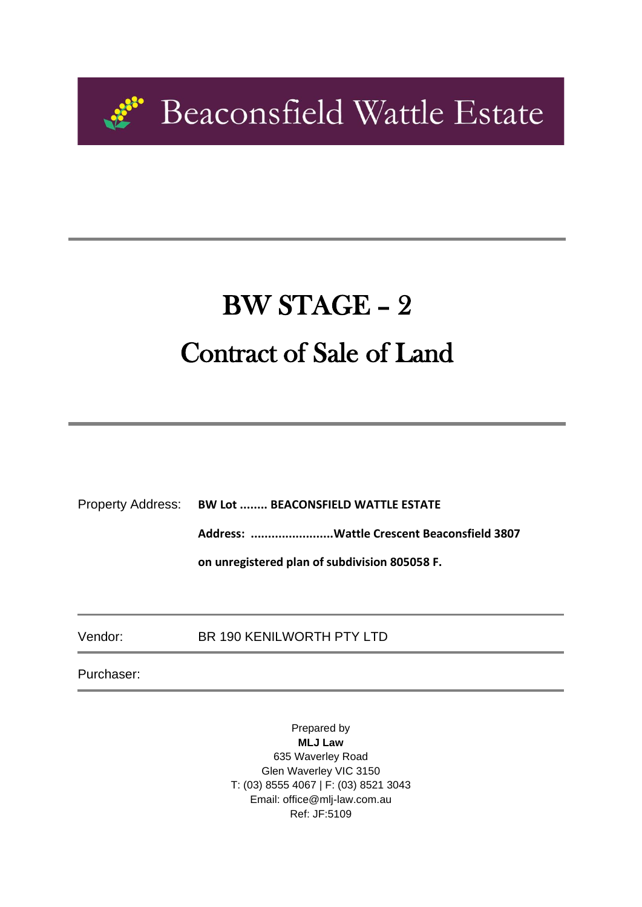

# BW STAGE – 2 Contract of Sale of Land

Property Address: **BW Lot ........ BEACONSFIELD WATTLE ESTATE** 

**Address: ........................Wattle Crescent Beaconsfield 3807** 

**on unregistered plan of subdivision 805058 F.**

Vendor: BR 190 KENILWORTH PTY LTD

Purchaser:

Prepared by **MLJ Law** 635 Waverley Road Glen Waverley VIC 3150 T: (03) 8555 4067 | F: (03) 8521 3043 Email: office@mlj-law.com.au Ref: JF:5109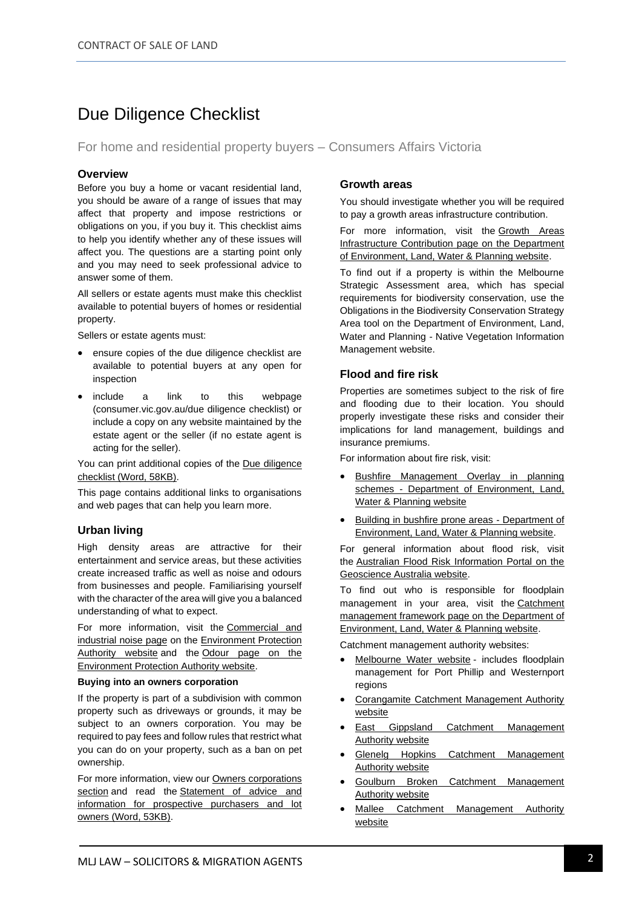### Due Diligence Checklist

For home and residential property buyers – Consumers Affairs Victoria

#### **Overview**

Before you buy a home or vacant residential land, you should be aware of a range of issues that may affect that property and impose restrictions or obligations on you, if you buy it. This checklist aims to help you identify whether any of these issues will affect you. The questions are a starting point only and you may need to seek professional advice to answer some of them.

All sellers or estate agents must make this checklist available to potential buyers of homes or residential property.

Sellers or estate agents must:

- ensure copies of the due diligence checklist are available to potential buyers at any open for inspection
- include a link to this webpage (consumer.vic.gov.au/due diligence checklist) or include a copy on any website maintained by the estate agent or the seller (if no estate agent is acting for the seller).

You can print additional copies of the Due diligence checklist (Word, 58KB).

This page contains additional links to organisations and web pages that can help you learn more.

#### **Urban living**

High density areas are attractive for their entertainment and service areas, but these activities create increased traffic as well as noise and odours from businesses and people. Familiarising yourself with the character of the area will give you a balanced understanding of what to expect.

For more information, visit the Commercial and industrial noise page on the Environment Protection Authority website and the Odour page on the Environment Protection Authority website.

#### **Buying into an owners corporation**

If the property is part of a subdivision with common property such as driveways or grounds, it may be subject to an owners corporation. You may be required to pay fees and follow rules that restrict what you can do on your property, such as a ban on pet ownership.

For more information, view our Owners corporations section and read the Statement of advice and information for prospective purchasers and lot owners (Word, 53KB).

#### **Growth areas**

You should investigate whether you will be required to pay a growth areas infrastructure contribution.

For more information, visit the Growth Areas Infrastructure Contribution page on the Department of Environment, Land, Water & Planning website.

To find out if a property is within the Melbourne Strategic Assessment area, which has special requirements for biodiversity conservation, use the Obligations in the Biodiversity Conservation Strategy Area tool on the Department of Environment, Land, Water and Planning - Native Vegetation Information Management website.

#### **Flood and fire risk**

Properties are sometimes subject to the risk of fire and flooding due to their location. You should properly investigate these risks and consider their implications for land management, buildings and insurance premiums.

For information about fire risk, visit:

- **Bushfire Management Overlay in planning** schemes - Department of Environment, Land, Water & Planning website
- Building in bushfire prone areas Department of Environment, Land, Water & Planning website.

For general information about flood risk, visit the Australian Flood Risk Information Portal on the Geoscience Australia website.

To find out who is responsible for floodplain management in your area, visit the Catchment management framework page on the Department of Environment, Land, Water & Planning website.

Catchment management authority websites:

- Melbourne Water website includes floodplain management for Port Phillip and Westernport regions
- Corangamite Catchment Management Authority website
- East Gippsland Catchment Management Authority website
- Glenelg Hopkins Catchment Management Authority website
- Goulburn Broken Catchment Management Authority website
- Mallee Catchment Management Authority website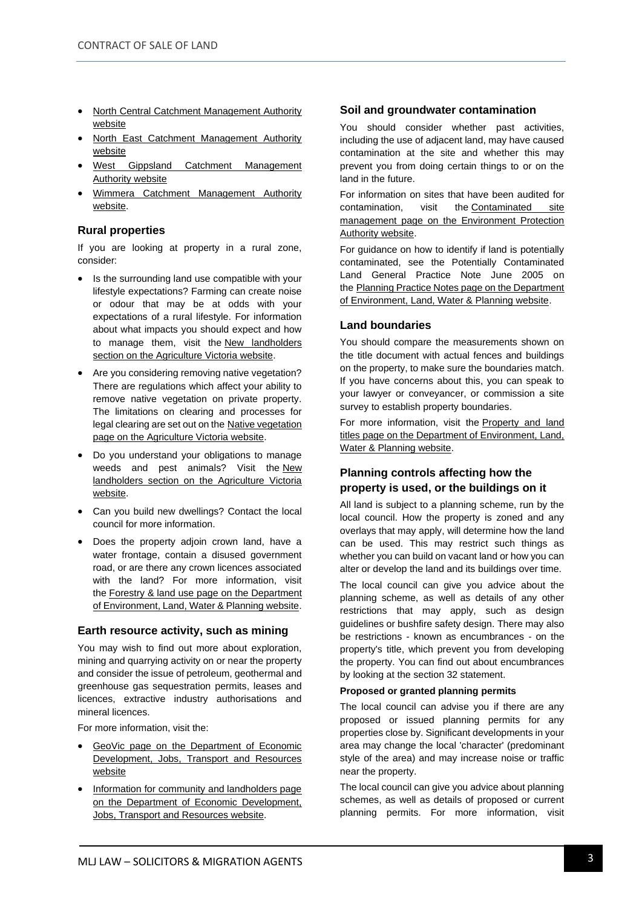- North Central Catchment Management Authority website
- North East Catchment Management Authority website
- West Gippsland Catchment Management Authority website
- Wimmera Catchment Management Authority website.

#### **Rural properties**

If you are looking at property in a rural zone, consider:

- Is the surrounding land use compatible with your lifestyle expectations? Farming can create noise or odour that may be at odds with your expectations of a rural lifestyle. For information about what impacts you should expect and how to manage them, visit the New landholders section on the Agriculture Victoria website.
- Are you considering removing native vegetation? There are regulations which affect your ability to remove native vegetation on private property. The limitations on clearing and processes for legal clearing are set out on the Native vegetation page on the Agriculture Victoria website.
- Do you understand your obligations to manage weeds and pest animals? Visit the New landholders section on the Agriculture Victoria website.
- Can you build new dwellings? Contact the local council for more information.
- Does the property adjoin crown land, have a water frontage, contain a disused government road, or are there any crown licences associated with the land? For more information, visit the Forestry & land use page on the Department of Environment, Land, Water & Planning website.

#### **Earth resource activity, such as mining**

You may wish to find out more about exploration, mining and quarrying activity on or near the property and consider the issue of petroleum, geothermal and greenhouse gas sequestration permits, leases and licences, extractive industry authorisations and mineral licences.

For more information, visit the:

- GeoVic page on the Department of Economic Development, Jobs, Transport and Resources website
- Information for community and landholders page on the Department of Economic Development, Jobs, Transport and Resources website.

#### **Soil and groundwater contamination**

You should consider whether past activities, including the use of adjacent land, may have caused contamination at the site and whether this may prevent you from doing certain things to or on the land in the future.

For information on sites that have been audited for contamination, visit the Contaminated site management page on the Environment Protection Authority website.

For guidance on how to identify if land is potentially contaminated, see the Potentially Contaminated Land General Practice Note June 2005 on the Planning Practice Notes page on the Department of Environment, Land, Water & Planning website.

#### **Land boundaries**

You should compare the measurements shown on the title document with actual fences and buildings on the property, to make sure the boundaries match. If you have concerns about this, you can speak to your lawyer or conveyancer, or commission a site survey to establish property boundaries.

For more information, visit the Property and land titles page on the Department of Environment, Land, Water & Planning website.

#### **Planning controls affecting how the property is used, or the buildings on it**

All land is subject to a planning scheme, run by the local council. How the property is zoned and any overlays that may apply, will determine how the land can be used. This may restrict such things as whether you can build on vacant land or how you can alter or develop the land and its buildings over time.

The local council can give you advice about the planning scheme, as well as details of any other restrictions that may apply, such as design guidelines or bushfire safety design. There may also be restrictions - known as encumbrances - on the property's title, which prevent you from developing the property. You can find out about encumbrances by looking at the section 32 statement.

#### **Proposed or granted planning permits**

The local council can advise you if there are any proposed or issued planning permits for any properties close by. Significant developments in your area may change the local 'character' (predominant style of the area) and may increase noise or traffic near the property.

The local council can give you advice about planning schemes, as well as details of proposed or current planning permits. For more information, visit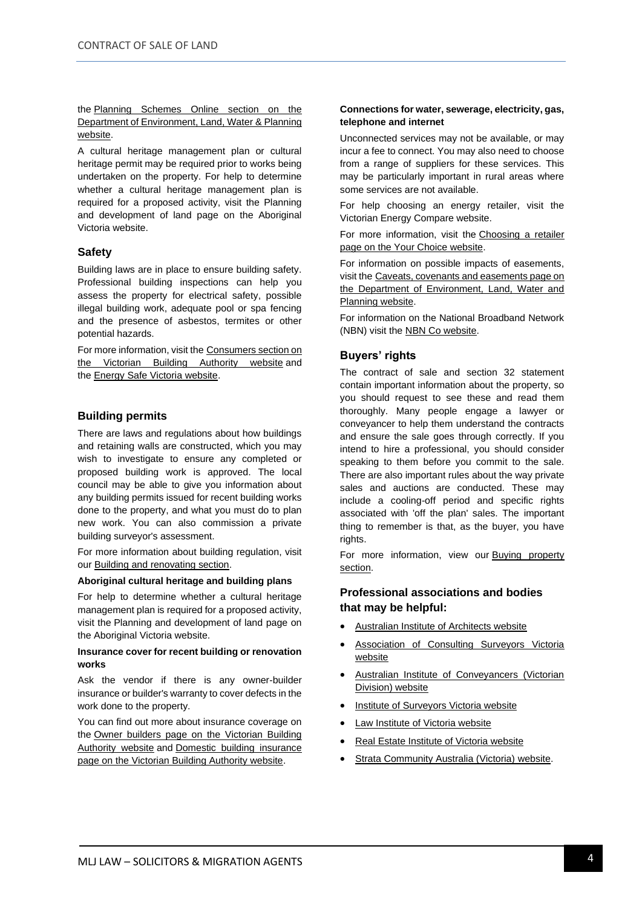the Planning Schemes Online section on the Department of Environment, Land, Water & Planning website.

A cultural heritage management plan or cultural heritage permit may be required prior to works being undertaken on the property. For help to determine whether a cultural heritage management plan is required for a proposed activity, visit the Planning and development of land page on the Aboriginal Victoria website.

#### **Safety**

Building laws are in place to ensure building safety. Professional building inspections can help you assess the property for electrical safety, possible illegal building work, adequate pool or spa fencing and the presence of asbestos, termites or other potential hazards.

For more information, visit the Consumers section on the Victorian Building Authority website and the Energy Safe Victoria website.

#### **Building permits**

There are laws and regulations about how buildings and retaining walls are constructed, which you may wish to investigate to ensure any completed or proposed building work is approved. The local council may be able to give you information about any building permits issued for recent building works done to the property, and what you must do to plan new work. You can also commission a private building surveyor's assessment.

For more information about building regulation, visit our **Building and renovating section**.

#### **Aboriginal cultural heritage and building plans**

For help to determine whether a cultural heritage management plan is required for a proposed activity, visit the Planning and development of land page on the Aboriginal Victoria website.

#### **Insurance cover for recent building or renovation works**

Ask the vendor if there is any owner-builder insurance or builder's warranty to cover defects in the work done to the property.

You can find out more about insurance coverage on the Owner builders page on the Victorian Building Authority website and Domestic building insurance page on the Victorian Building Authority website.

#### **Connections for water, sewerage, electricity, gas, telephone and internet**

Unconnected services may not be available, or may incur a fee to connect. You may also need to choose from a range of suppliers for these services. This may be particularly important in rural areas where some services are not available.

For help choosing an energy retailer, visit the Victorian Energy Compare website.

For more information, visit the Choosing a retailer page on the Your Choice website.

For information on possible impacts of easements, visit the Caveats, covenants and easements page on the Department of Environment, Land, Water and Planning website.

For information on the National Broadband Network (NBN) visit the NBN Co website.

#### **Buyers' rights**

The contract of sale and section 32 statement contain important information about the property, so you should request to see these and read them thoroughly. Many people engage a lawyer or conveyancer to help them understand the contracts and ensure the sale goes through correctly. If you intend to hire a professional, you should consider speaking to them before you commit to the sale. There are also important rules about the way private sales and auctions are conducted. These may include a cooling-off period and specific rights associated with 'off the plan' sales. The important thing to remember is that, as the buyer, you have rights.

For more information, view our **Buying property** section.

#### **Professional associations and bodies that may be helpful:**

- Australian Institute of Architects website
- Association of Consulting Surveyors Victoria website
- Australian Institute of Conveyancers (Victorian Division) website
- **Institute of Surveyors Victoria website**
- **Law Institute of Victoria website**
- Real Estate Institute of Victoria website
- Strata Community Australia (Victoria) website.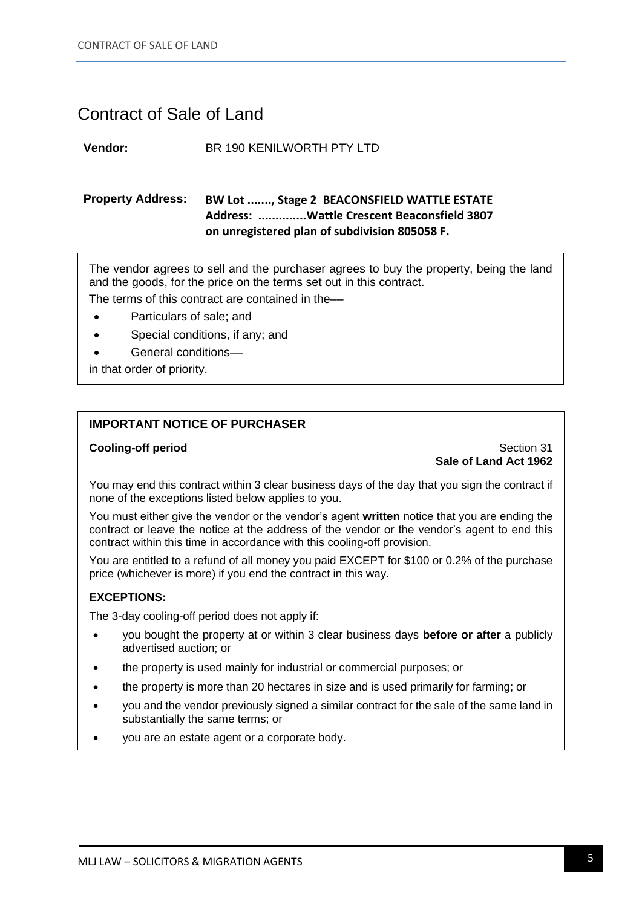### Contract of Sale of Land

#### **Vendor:** BR 190 KENILWORTH PTY LTD

### **Property Address: BW Lot ......., Stage 2 BEACONSFIELD WATTLE ESTATE Address: ..............Wattle Crescent Beaconsfield 3807 on unregistered plan of subdivision 805058 F.**

The vendor agrees to sell and the purchaser agrees to buy the property, being the land and the goods, for the price on the terms set out in this contract.

The terms of this contract are contained in the–

- Particulars of sale; and
- Special conditions, if any; and
- General conditions-
- in that order of priority.

#### **IMPORTANT NOTICE OF PURCHASER**

#### **Cooling-off period** Section 31 **Sale of Land Act 1962**

You may end this contract within 3 clear business days of the day that you sign the contract if none of the exceptions listed below applies to you.

You must either give the vendor or the vendor's agent **written** notice that you are ending the contract or leave the notice at the address of the vendor or the vendor's agent to end this contract within this time in accordance with this cooling-off provision.

You are entitled to a refund of all money you paid EXCEPT for \$100 or 0.2% of the purchase price (whichever is more) if you end the contract in this way.

#### **EXCEPTIONS:**

The 3-day cooling-off period does not apply if:

- you bought the property at or within 3 clear business days **before or after** a publicly advertised auction; or
- the property is used mainly for industrial or commercial purposes; or
- the property is more than 20 hectares in size and is used primarily for farming; or
- you and the vendor previously signed a similar contract for the sale of the same land in substantially the same terms; or
- you are an estate agent or a corporate body.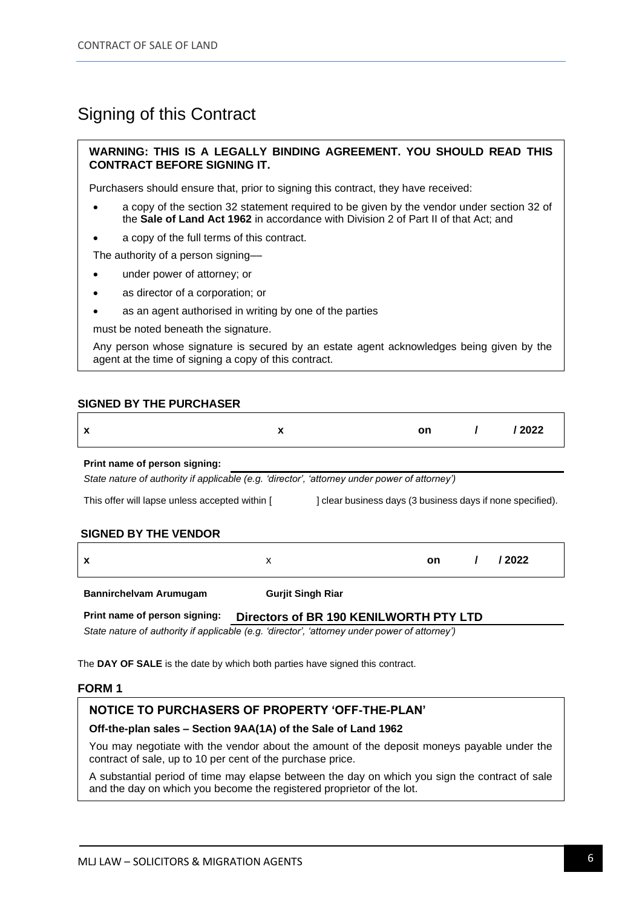### Signing of this Contract

#### **WARNING: THIS IS A LEGALLY BINDING AGREEMENT. YOU SHOULD READ THIS CONTRACT BEFORE SIGNING IT.**

Purchasers should ensure that, prior to signing this contract, they have received:

- a copy of the section 32 statement required to be given by the vendor under section 32 of the **Sale of Land Act 1962** in accordance with Division 2 of Part II of that Act; and
- a copy of the full terms of this contract.

The authority of a person signing––

- under power of attorney; or
- as director of a corporation; or
- as an agent authorised in writing by one of the parties

must be noted beneath the signature.

Any person whose signature is secured by an estate agent acknowledges being given by the agent at the time of signing a copy of this contract.

#### **SIGNED BY THE PURCHASER**

| х                                                                                                            | X |                          | on.       |  | / 2022 |
|--------------------------------------------------------------------------------------------------------------|---|--------------------------|-----------|--|--------|
| Print name of person signing:                                                                                |   |                          |           |  |        |
| State nature of authority if applicable (e.g. 'director', 'attorney under power of attorney')                |   |                          |           |  |        |
| This offer will lapse unless accepted within [<br>I clear business days (3 business days if none specified). |   |                          |           |  |        |
| <b>SIGNED BY THE VENDOR</b>                                                                                  |   |                          |           |  |        |
| x                                                                                                            | X |                          | <b>on</b> |  | / 2022 |
| <b>Bannirchelvam Arumugam</b>                                                                                |   | <b>Gurjit Singh Riar</b> |           |  |        |

**Print name of person signing: Directors of BR 190 KENILWORTH PTY LTD** 

*State nature of authority if applicable (e.g. 'director', 'attorney under power of attorney')* 

The **DAY OF SALE** is the date by which both parties have signed this contract.

#### **FORM 1**

#### **NOTICE TO PURCHASERS OF PROPERTY 'OFF-THE-PLAN'**

#### **Off-the-plan sales – Section 9AA(1A) of the Sale of Land 1962**

You may negotiate with the vendor about the amount of the deposit moneys payable under the contract of sale, up to 10 per cent of the purchase price.

A substantial period of time may elapse between the day on which you sign the contract of sale and the day on which you become the registered proprietor of the lot.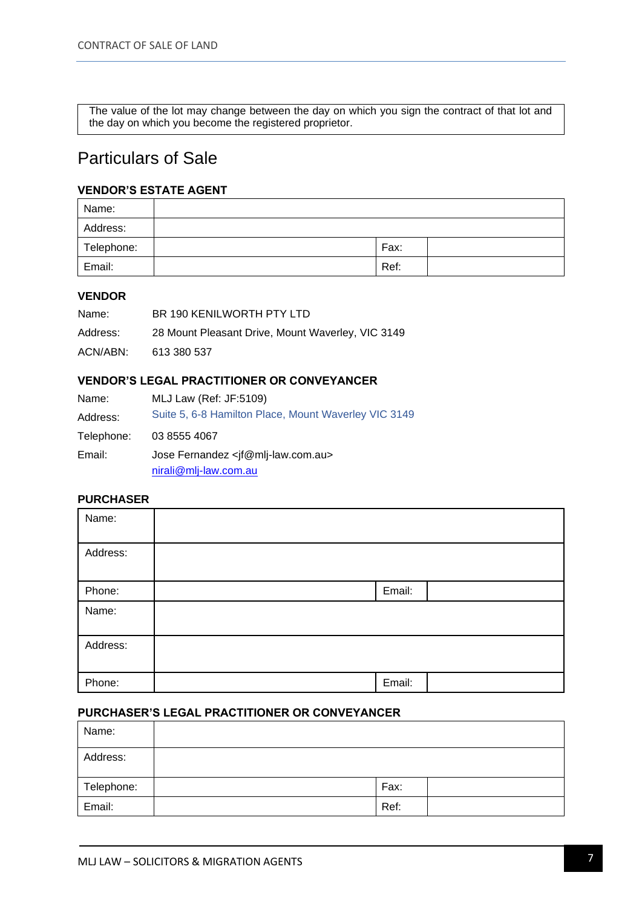The value of the lot may change between the day on which you sign the contract of that lot and the day on which you become the registered proprietor.

### Particulars of Sale

#### **VENDOR'S ESTATE AGENT**

| Name:      |      |  |
|------------|------|--|
| Address:   |      |  |
| Telephone: | Fax: |  |
| Email:     | Ref: |  |

#### **VENDOR**

| Name:    | BR 190 KENILWORTH PTY LTD                         |
|----------|---------------------------------------------------|
| Address: | 28 Mount Pleasant Drive, Mount Waverley, VIC 3149 |
| ACN/ABN: | 613 380 537                                       |

#### **VENDOR'S LEGAL PRACTITIONER OR CONVEYANCER**

| Name:      | MLJ Law (Ref: JF:5109)                                                           |
|------------|----------------------------------------------------------------------------------|
| Address:   | Suite 5, 6-8 Hamilton Place, Mount Waverley VIC 3149                             |
| Telephone: | 03 8555 4067                                                                     |
| Email:     | Jose Fernandez <if@mlj-law.com.au><br/>nirali@mlj-law.com.au</if@mlj-law.com.au> |

#### **PURCHASER**

| Name:    |        |  |
|----------|--------|--|
| Address: |        |  |
| Phone:   | Email: |  |
| Name:    |        |  |
| Address: |        |  |
| Phone:   | Email: |  |

#### **PURCHASER'S LEGAL PRACTITIONER OR CONVEYANCER**

| Name:      |      |  |
|------------|------|--|
| Address:   |      |  |
| Telephone: | Fax: |  |
| Email:     | Ref: |  |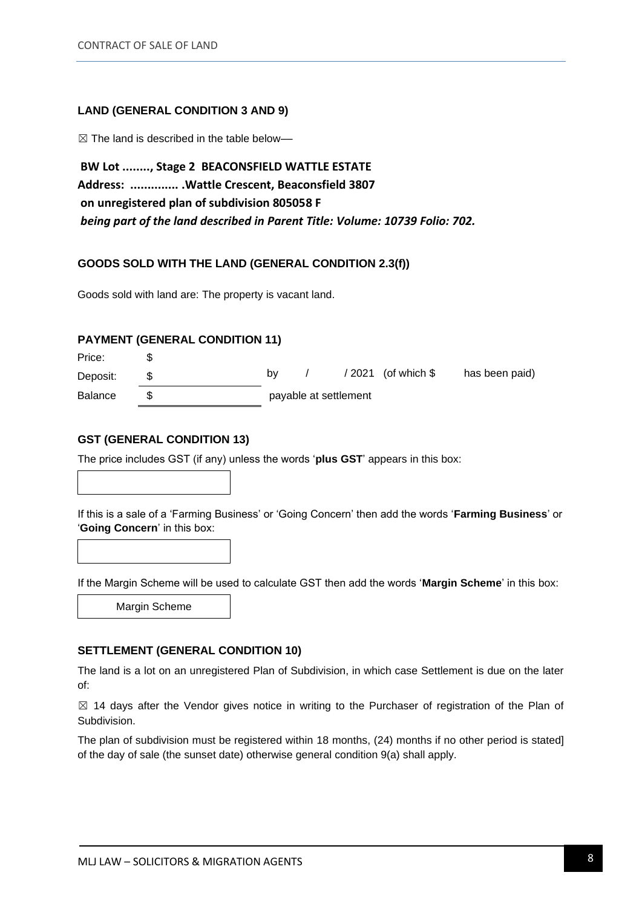#### **LAND (GENERAL CONDITION 3 AND 9)**

☒ The land is described in the table below––

**BW Lot ........, Stage 2 BEACONSFIELD WATTLE ESTATE Address: .............. .Wattle Crescent, Beaconsfield 3807 on unregistered plan of subdivision 805058 F** *being part of the land described in Parent Title: Volume: 10739 Folio: 702.*

#### **GOODS SOLD WITH THE LAND (GENERAL CONDITION 2.3(f))**

Goods sold with land are: The property is vacant land.

#### **PAYMENT (GENERAL CONDITION 11)**

Price: \$ Deposit: \$ by  $/ 2021$  (of which  $\frac{1}{2}$  has been paid) Balance \$ payable at settlement

#### **GST (GENERAL CONDITION 13)**

The price includes GST (if any) unless the words '**plus GST**' appears in this box:

If this is a sale of a 'Farming Business' or 'Going Concern' then add the words '**Farming Business**' or '**Going Concern**' in this box:

If the Margin Scheme will be used to calculate GST then add the words '**Margin Scheme**' in this box:

Margin Scheme

#### **SETTLEMENT (GENERAL CONDITION 10)**

The land is a lot on an unregistered Plan of Subdivision, in which case Settlement is due on the later of:

 $\boxtimes$  14 days after the Vendor gives notice in writing to the Purchaser of registration of the Plan of Subdivision.

The plan of subdivision must be registered within 18 months, (24) months if no other period is stated] of the day of sale (the sunset date) otherwise general condition 9(a) shall apply.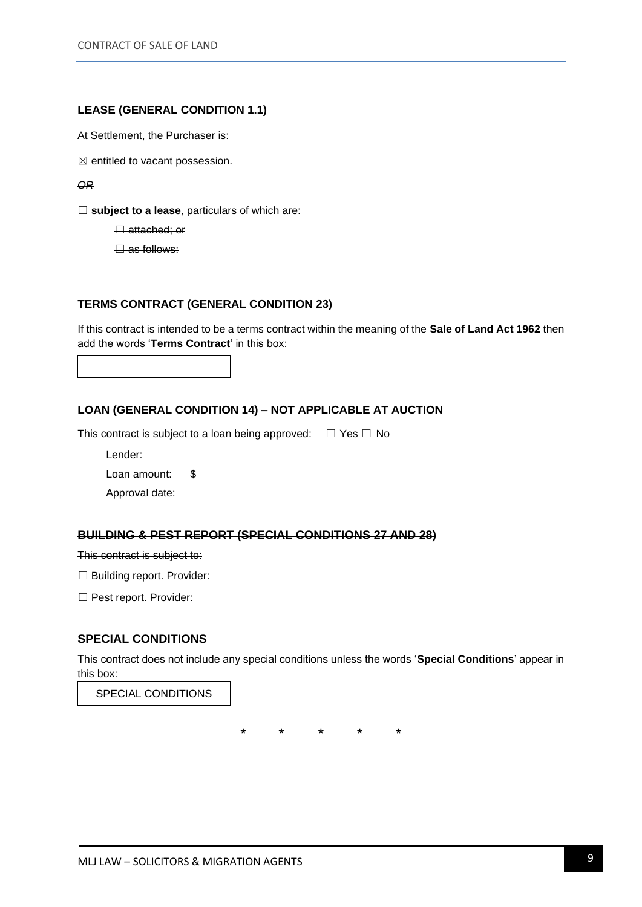#### **LEASE (GENERAL CONDITION 1.1)**

At Settlement, the Purchaser is:

 $\boxtimes$  entitled to vacant possession.

*OR* 

**□ subject to a lease**, particulars of which are:

**□ attached; or** 

 $\Box$  as follows:

#### **TERMS CONTRACT (GENERAL CONDITION 23)**

If this contract is intended to be a terms contract within the meaning of the **Sale of Land Act 1962** then add the words '**Terms Contract**' in this box:

#### **LOAN (GENERAL CONDITION 14) – NOT APPLICABLE AT AUCTION**

This contract is subject to a loan being approved:  $□$  Yes  $□$  No

Lender:

Loan amount: \$

Approval date:

#### **BUILDING & PEST REPORT (SPECIAL CONDITIONS 27 AND 28)**

This contract is subject to:

**□ Building report. Provider:** 

**□ Pest report. Provider:** 

#### **SPECIAL CONDITIONS**

This contract does not include any special conditions unless the words '**Special Conditions**' appear in this box:

SPECIAL CONDITIONS

\* \* \* \* \*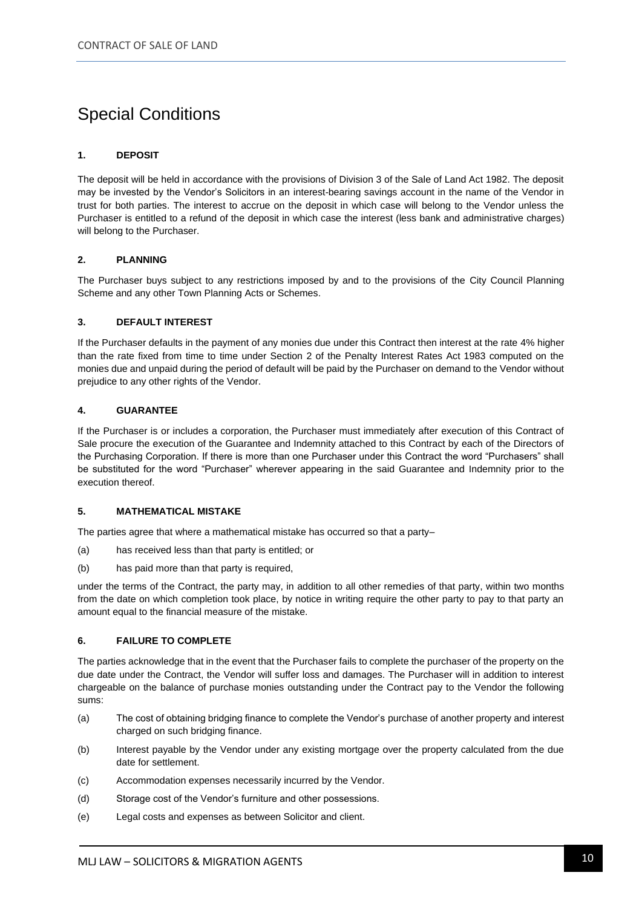## Special Conditions

#### **1. DEPOSIT**

The deposit will be held in accordance with the provisions of Division 3 of the Sale of Land Act 1982. The deposit may be invested by the Vendor's Solicitors in an interest-bearing savings account in the name of the Vendor in trust for both parties. The interest to accrue on the deposit in which case will belong to the Vendor unless the Purchaser is entitled to a refund of the deposit in which case the interest (less bank and administrative charges) will belong to the Purchaser.

#### **2. PLANNING**

The Purchaser buys subject to any restrictions imposed by and to the provisions of the City Council Planning Scheme and any other Town Planning Acts or Schemes.

#### **3. DEFAULT INTEREST**

If the Purchaser defaults in the payment of any monies due under this Contract then interest at the rate 4% higher than the rate fixed from time to time under Section 2 of the Penalty Interest Rates Act 1983 computed on the monies due and unpaid during the period of default will be paid by the Purchaser on demand to the Vendor without prejudice to any other rights of the Vendor.

#### **4. GUARANTEE**

If the Purchaser is or includes a corporation, the Purchaser must immediately after execution of this Contract of Sale procure the execution of the Guarantee and Indemnity attached to this Contract by each of the Directors of the Purchasing Corporation. If there is more than one Purchaser under this Contract the word "Purchasers" shall be substituted for the word "Purchaser" wherever appearing in the said Guarantee and Indemnity prior to the execution thereof.

#### **5. MATHEMATICAL MISTAKE**

The parties agree that where a mathematical mistake has occurred so that a party–

- (a) has received less than that party is entitled; or
- (b) has paid more than that party is required,

under the terms of the Contract, the party may, in addition to all other remedies of that party, within two months from the date on which completion took place, by notice in writing require the other party to pay to that party an amount equal to the financial measure of the mistake.

#### **6. FAILURE TO COMPLETE**

The parties acknowledge that in the event that the Purchaser fails to complete the purchaser of the property on the due date under the Contract, the Vendor will suffer loss and damages. The Purchaser will in addition to interest chargeable on the balance of purchase monies outstanding under the Contract pay to the Vendor the following sums:

- (a) The cost of obtaining bridging finance to complete the Vendor's purchase of another property and interest charged on such bridging finance.
- (b) Interest payable by the Vendor under any existing mortgage over the property calculated from the due date for settlement.
- (c) Accommodation expenses necessarily incurred by the Vendor.
- (d) Storage cost of the Vendor's furniture and other possessions.
- (e) Legal costs and expenses as between Solicitor and client.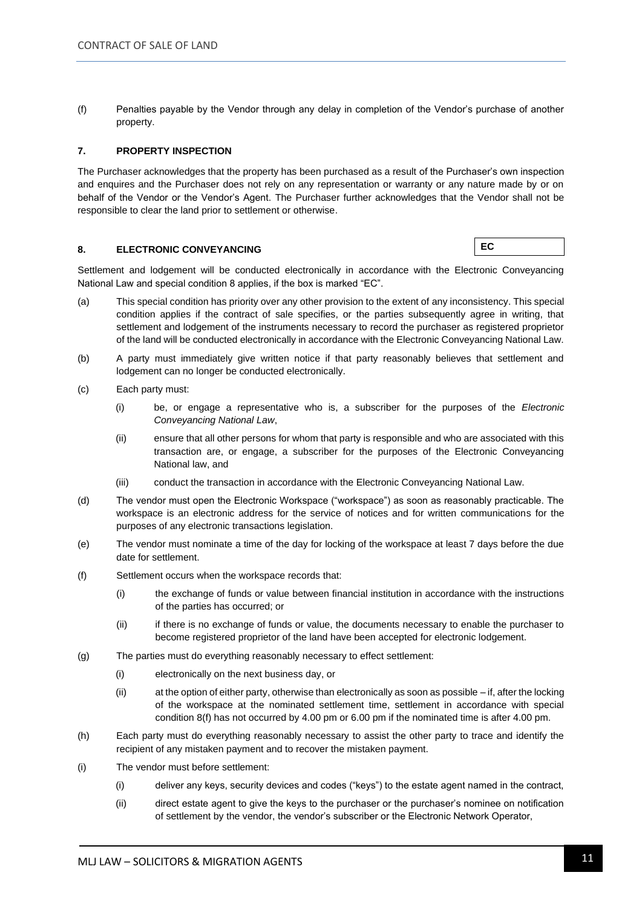(f) Penalties payable by the Vendor through any delay in completion of the Vendor's purchase of another property.

#### **7. PROPERTY INSPECTION**

The Purchaser acknowledges that the property has been purchased as a result of the Purchaser's own inspection and enquires and the Purchaser does not rely on any representation or warranty or any nature made by or on behalf of the Vendor or the Vendor's Agent. The Purchaser further acknowledges that the Vendor shall not be responsible to clear the land prior to settlement or otherwise.

#### **8. ELECTRONIC CONVEYANCING**

**EC**

Settlement and lodgement will be conducted electronically in accordance with the Electronic Conveyancing National Law and special condition 8 applies, if the box is marked "EC".

- (a) This special condition has priority over any other provision to the extent of any inconsistency. This special condition applies if the contract of sale specifies, or the parties subsequently agree in writing, that settlement and lodgement of the instruments necessary to record the purchaser as registered proprietor of the land will be conducted electronically in accordance with the Electronic Conveyancing National Law.
- (b) A party must immediately give written notice if that party reasonably believes that settlement and lodgement can no longer be conducted electronically.
- (c) Each party must:
	- (i) be, or engage a representative who is, a subscriber for the purposes of the *Electronic Conveyancing National Law*,
	- (ii) ensure that all other persons for whom that party is responsible and who are associated with this transaction are, or engage, a subscriber for the purposes of the Electronic Conveyancing National law, and
	- (iii) conduct the transaction in accordance with the Electronic Conveyancing National Law.
- (d) The vendor must open the Electronic Workspace ("workspace") as soon as reasonably practicable. The workspace is an electronic address for the service of notices and for written communications for the purposes of any electronic transactions legislation.
- (e) The vendor must nominate a time of the day for locking of the workspace at least 7 days before the due date for settlement.
- (f) Settlement occurs when the workspace records that:
	- (i) the exchange of funds or value between financial institution in accordance with the instructions of the parties has occurred; or
	- (ii) if there is no exchange of funds or value, the documents necessary to enable the purchaser to become registered proprietor of the land have been accepted for electronic lodgement.
- (g) The parties must do everything reasonably necessary to effect settlement:
	- (i) electronically on the next business day, or
	- (ii) at the option of either party, otherwise than electronically as soon as possible if, after the locking of the workspace at the nominated settlement time, settlement in accordance with special condition 8(f) has not occurred by 4.00 pm or 6.00 pm if the nominated time is after 4.00 pm.
- (h) Each party must do everything reasonably necessary to assist the other party to trace and identify the recipient of any mistaken payment and to recover the mistaken payment.
- (i) The vendor must before settlement:
	- (i) deliver any keys, security devices and codes ("keys") to the estate agent named in the contract,
	- (ii) direct estate agent to give the keys to the purchaser or the purchaser's nominee on notification of settlement by the vendor, the vendor's subscriber or the Electronic Network Operator,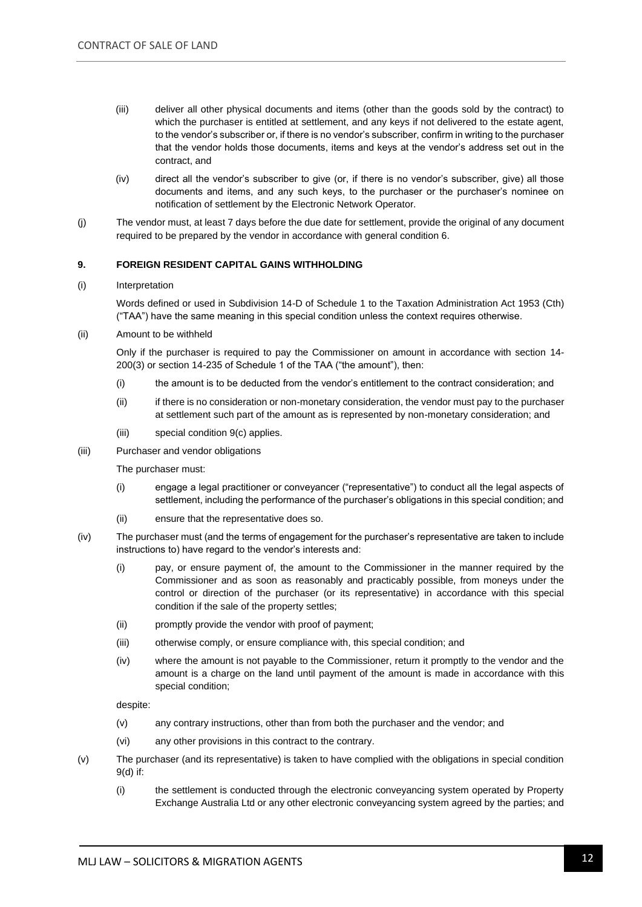- (iii) deliver all other physical documents and items (other than the goods sold by the contract) to which the purchaser is entitled at settlement, and any keys if not delivered to the estate agent, to the vendor's subscriber or, if there is no vendor's subscriber, confirm in writing to the purchaser that the vendor holds those documents, items and keys at the vendor's address set out in the contract, and
- (iv) direct all the vendor's subscriber to give (or, if there is no vendor's subscriber, give) all those documents and items, and any such keys, to the purchaser or the purchaser's nominee on notification of settlement by the Electronic Network Operator.
- (j) The vendor must, at least 7 days before the due date for settlement, provide the original of any document required to be prepared by the vendor in accordance with general condition 6.

#### **9. FOREIGN RESIDENT CAPITAL GAINS WITHHOLDING**

#### (i) Interpretation

Words defined or used in Subdivision 14-D of Schedule 1 to the Taxation Administration Act 1953 (Cth) ("TAA") have the same meaning in this special condition unless the context requires otherwise.

(ii) Amount to be withheld

Only if the purchaser is required to pay the Commissioner on amount in accordance with section 14- 200(3) or section 14-235 of Schedule 1 of the TAA ("the amount"), then:

- (i) the amount is to be deducted from the vendor's entitlement to the contract consideration; and
- (ii) if there is no consideration or non-monetary consideration, the vendor must pay to the purchaser at settlement such part of the amount as is represented by non-monetary consideration; and
- (iii) special condition 9(c) applies.
- (iii) Purchaser and vendor obligations

The purchaser must:

- (i) engage a legal practitioner or conveyancer ("representative") to conduct all the legal aspects of settlement, including the performance of the purchaser's obligations in this special condition; and
- (ii) ensure that the representative does so.
- (iv) The purchaser must (and the terms of engagement for the purchaser's representative are taken to include instructions to) have regard to the vendor's interests and:
	- (i) pay, or ensure payment of, the amount to the Commissioner in the manner required by the Commissioner and as soon as reasonably and practicably possible, from moneys under the control or direction of the purchaser (or its representative) in accordance with this special condition if the sale of the property settles;
	- (ii) promptly provide the vendor with proof of payment;
	- (iii) otherwise comply, or ensure compliance with, this special condition; and
	- (iv) where the amount is not payable to the Commissioner, return it promptly to the vendor and the amount is a charge on the land until payment of the amount is made in accordance with this special condition;

despite:

- (v) any contrary instructions, other than from both the purchaser and the vendor; and
- (vi) any other provisions in this contract to the contrary.
- (v) The purchaser (and its representative) is taken to have complied with the obligations in special condition 9(d) if:
	- (i) the settlement is conducted through the electronic conveyancing system operated by Property Exchange Australia Ltd or any other electronic conveyancing system agreed by the parties; and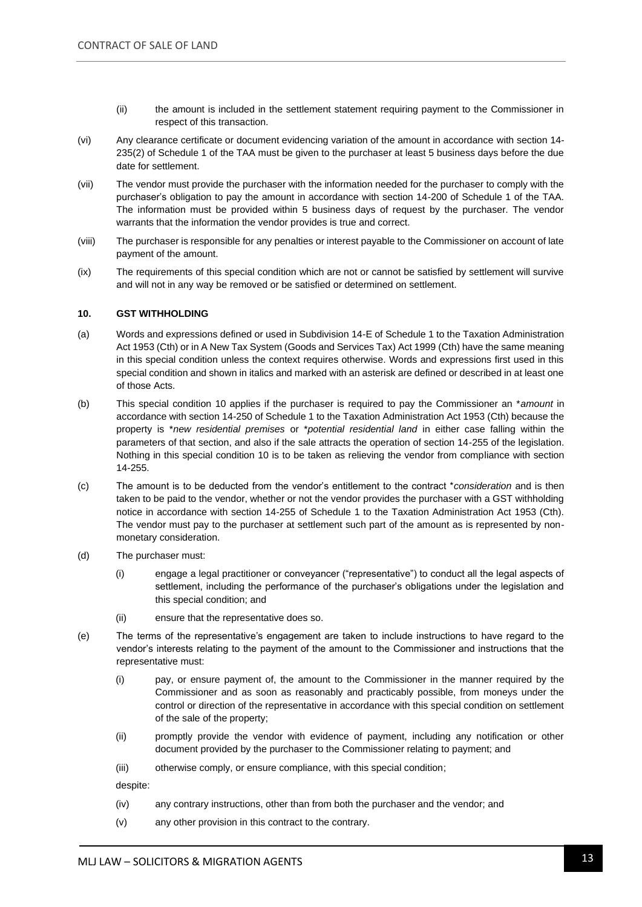- (ii) the amount is included in the settlement statement requiring payment to the Commissioner in respect of this transaction.
- (vi) Any clearance certificate or document evidencing variation of the amount in accordance with section 14- 235(2) of Schedule 1 of the TAA must be given to the purchaser at least 5 business days before the due date for settlement.
- (vii) The vendor must provide the purchaser with the information needed for the purchaser to comply with the purchaser's obligation to pay the amount in accordance with section 14-200 of Schedule 1 of the TAA. The information must be provided within 5 business days of request by the purchaser. The vendor warrants that the information the vendor provides is true and correct.
- (viii) The purchaser is responsible for any penalties or interest payable to the Commissioner on account of late payment of the amount.
- (ix) The requirements of this special condition which are not or cannot be satisfied by settlement will survive and will not in any way be removed or be satisfied or determined on settlement.

#### **10. GST WITHHOLDING**

- (a) Words and expressions defined or used in Subdivision 14-E of Schedule 1 to the Taxation Administration Act 1953 (Cth) or in A New Tax System (Goods and Services Tax) Act 1999 (Cth) have the same meaning in this special condition unless the context requires otherwise. Words and expressions first used in this special condition and shown in italics and marked with an asterisk are defined or described in at least one of those Acts.
- (b) This special condition 10 applies if the purchaser is required to pay the Commissioner an \**amount* in accordance with section 14-250 of Schedule 1 to the Taxation Administration Act 1953 (Cth) because the property is \**new residential premises* or \**potential residential land* in either case falling within the parameters of that section, and also if the sale attracts the operation of section 14-255 of the legislation. Nothing in this special condition 10 is to be taken as relieving the vendor from compliance with section 14-255.
- (c) The amount is to be deducted from the vendor's entitlement to the contract \**consideration* and is then taken to be paid to the vendor, whether or not the vendor provides the purchaser with a GST withholding notice in accordance with section 14-255 of Schedule 1 to the Taxation Administration Act 1953 (Cth). The vendor must pay to the purchaser at settlement such part of the amount as is represented by nonmonetary consideration.
- (d) The purchaser must:
	- (i) engage a legal practitioner or conveyancer ("representative") to conduct all the legal aspects of settlement, including the performance of the purchaser's obligations under the legislation and this special condition; and
	- (ii) ensure that the representative does so.
- (e) The terms of the representative's engagement are taken to include instructions to have regard to the vendor's interests relating to the payment of the amount to the Commissioner and instructions that the representative must:
	- (i) pay, or ensure payment of, the amount to the Commissioner in the manner required by the Commissioner and as soon as reasonably and practicably possible, from moneys under the control or direction of the representative in accordance with this special condition on settlement of the sale of the property;
	- (ii) promptly provide the vendor with evidence of payment, including any notification or other document provided by the purchaser to the Commissioner relating to payment; and
	- (iii) otherwise comply, or ensure compliance, with this special condition;

despite:

- (iv) any contrary instructions, other than from both the purchaser and the vendor; and
- (v) any other provision in this contract to the contrary.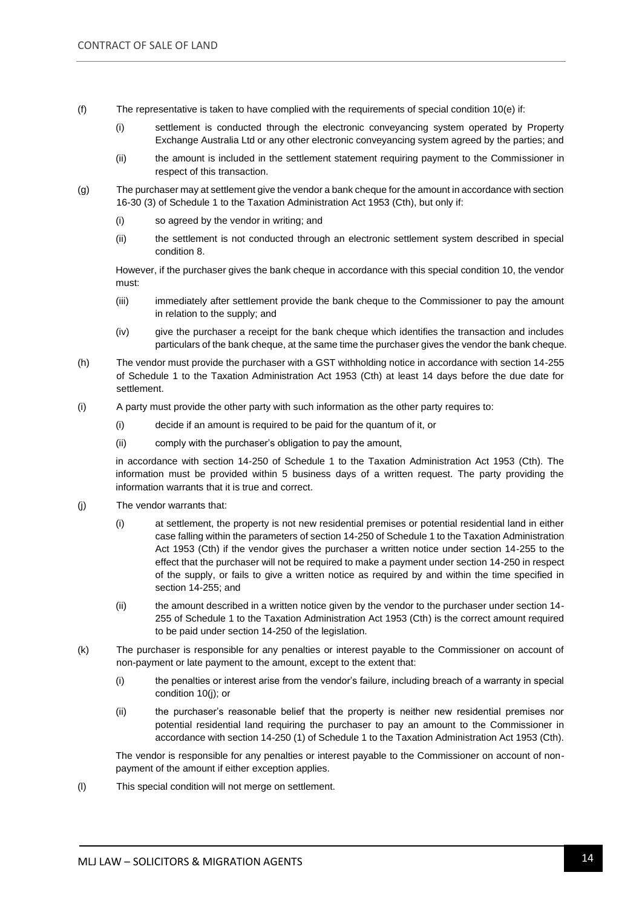- (f) The representative is taken to have complied with the requirements of special condition 10(e) if:
	- (i) settlement is conducted through the electronic conveyancing system operated by Property Exchange Australia Ltd or any other electronic conveyancing system agreed by the parties; and
	- (ii) the amount is included in the settlement statement requiring payment to the Commissioner in respect of this transaction.
- (g) The purchaser may at settlement give the vendor a bank cheque for the amount in accordance with section 16-30 (3) of Schedule 1 to the Taxation Administration Act 1953 (Cth), but only if:
	- (i) so agreed by the vendor in writing; and
	- (ii) the settlement is not conducted through an electronic settlement system described in special condition 8.

However, if the purchaser gives the bank cheque in accordance with this special condition 10, the vendor must:

- (iii) immediately after settlement provide the bank cheque to the Commissioner to pay the amount in relation to the supply; and
- (iv) give the purchaser a receipt for the bank cheque which identifies the transaction and includes particulars of the bank cheque, at the same time the purchaser gives the vendor the bank cheque.
- (h) The vendor must provide the purchaser with a GST withholding notice in accordance with section 14-255 of Schedule 1 to the Taxation Administration Act 1953 (Cth) at least 14 days before the due date for settlement.
- (i) A party must provide the other party with such information as the other party requires to:
	- (i) decide if an amount is required to be paid for the quantum of it, or
	- (ii) comply with the purchaser's obligation to pay the amount,

in accordance with section 14-250 of Schedule 1 to the Taxation Administration Act 1953 (Cth). The information must be provided within 5 business days of a written request. The party providing the information warrants that it is true and correct.

- (j) The vendor warrants that:
	- (i) at settlement, the property is not new residential premises or potential residential land in either case falling within the parameters of section 14-250 of Schedule 1 to the Taxation Administration Act 1953 (Cth) if the vendor gives the purchaser a written notice under section 14-255 to the effect that the purchaser will not be required to make a payment under section 14-250 in respect of the supply, or fails to give a written notice as required by and within the time specified in section 14-255; and
	- (ii) the amount described in a written notice given by the vendor to the purchaser under section 14- 255 of Schedule 1 to the Taxation Administration Act 1953 (Cth) is the correct amount required to be paid under section 14-250 of the legislation.
- (k) The purchaser is responsible for any penalties or interest payable to the Commissioner on account of non-payment or late payment to the amount, except to the extent that:
	- (i) the penalties or interest arise from the vendor's failure, including breach of a warranty in special condition 10(j); or
	- (ii) the purchaser's reasonable belief that the property is neither new residential premises nor potential residential land requiring the purchaser to pay an amount to the Commissioner in accordance with section 14-250 (1) of Schedule 1 to the Taxation Administration Act 1953 (Cth).

The vendor is responsible for any penalties or interest payable to the Commissioner on account of nonpayment of the amount if either exception applies.

(l) This special condition will not merge on settlement.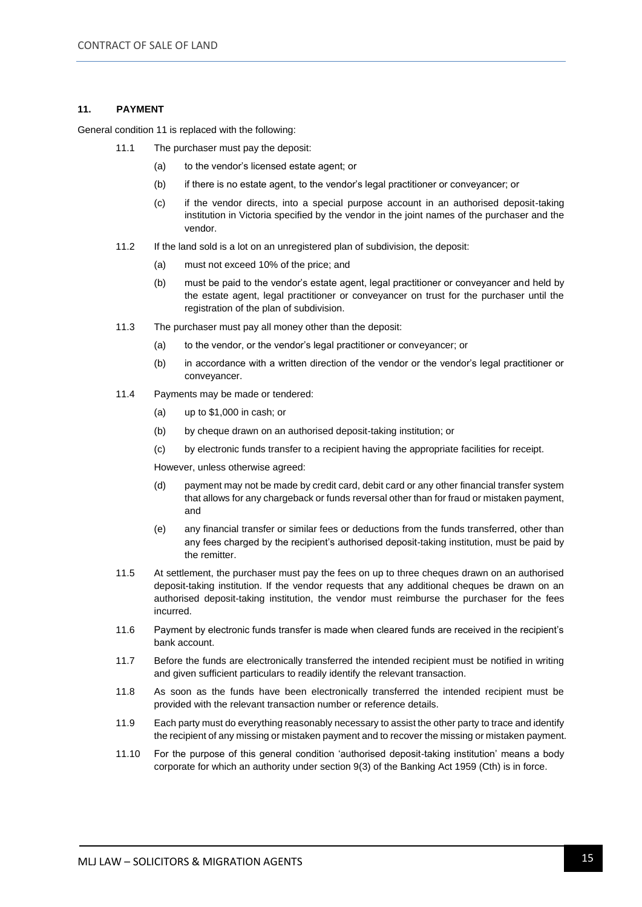#### **11. PAYMENT**

General condition 11 is replaced with the following:

- 11.1 The purchaser must pay the deposit:
	- (a) to the vendor's licensed estate agent; or
	- (b) if there is no estate agent, to the vendor's legal practitioner or conveyancer; or
	- (c) if the vendor directs, into a special purpose account in an authorised deposit-taking institution in Victoria specified by the vendor in the joint names of the purchaser and the vendor.
- 11.2 If the land sold is a lot on an unregistered plan of subdivision, the deposit:
	- (a) must not exceed 10% of the price; and
	- (b) must be paid to the vendor's estate agent, legal practitioner or conveyancer and held by the estate agent, legal practitioner or conveyancer on trust for the purchaser until the registration of the plan of subdivision.
- 11.3 The purchaser must pay all money other than the deposit:
	- (a) to the vendor, or the vendor's legal practitioner or conveyancer; or
	- (b) in accordance with a written direction of the vendor or the vendor's legal practitioner or conveyancer.
- 11.4 Payments may be made or tendered:
	- (a) up to \$1,000 in cash; or
	- (b) by cheque drawn on an authorised deposit-taking institution; or
	- (c) by electronic funds transfer to a recipient having the appropriate facilities for receipt.

However, unless otherwise agreed:

- (d) payment may not be made by credit card, debit card or any other financial transfer system that allows for any chargeback or funds reversal other than for fraud or mistaken payment, and
- (e) any financial transfer or similar fees or deductions from the funds transferred, other than any fees charged by the recipient's authorised deposit-taking institution, must be paid by the remitter.
- 11.5 At settlement, the purchaser must pay the fees on up to three cheques drawn on an authorised deposit-taking institution. If the vendor requests that any additional cheques be drawn on an authorised deposit-taking institution, the vendor must reimburse the purchaser for the fees incurred.
- 11.6 Payment by electronic funds transfer is made when cleared funds are received in the recipient's bank account.
- 11.7 Before the funds are electronically transferred the intended recipient must be notified in writing and given sufficient particulars to readily identify the relevant transaction.
- 11.8 As soon as the funds have been electronically transferred the intended recipient must be provided with the relevant transaction number or reference details.
- 11.9 Each party must do everything reasonably necessary to assist the other party to trace and identify the recipient of any missing or mistaken payment and to recover the missing or mistaken payment.
- 11.10 For the purpose of this general condition 'authorised deposit-taking institution' means a body corporate for which an authority under section 9(3) of the Banking Act 1959 (Cth) is in force.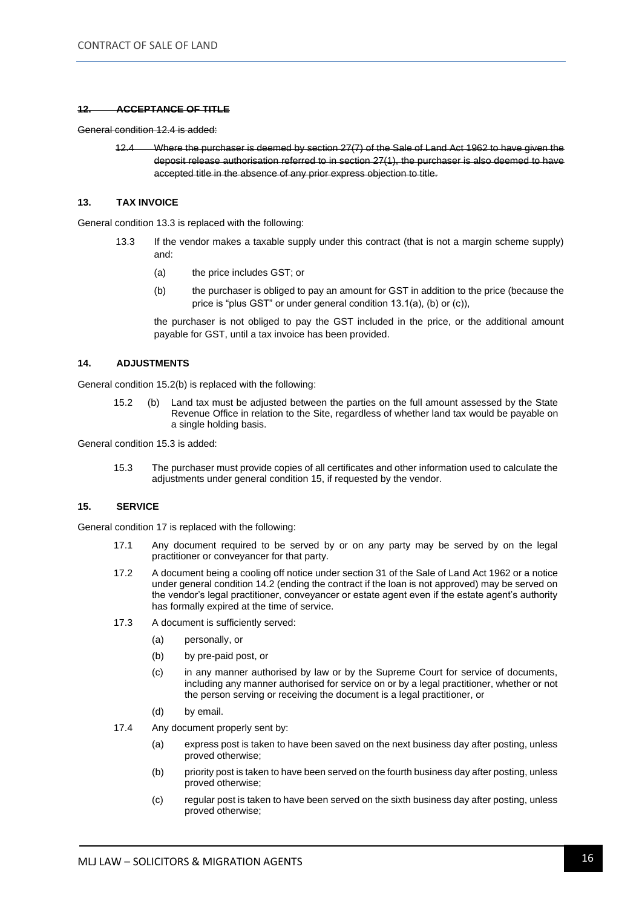#### **12. ACCEPTANCE OF TITLE**

General condition 12.4 is added:

12.4 Where the purchaser is deemed by section 27(7) of the Sale of Land Act 1962 to have given the deposit release authorisation referred to in section 27(1), the purchaser is also deemed to have accepted title in the absence of any prior express objection to title.

#### **13. TAX INVOICE**

General condition 13.3 is replaced with the following:

- 13.3 If the vendor makes a taxable supply under this contract (that is not a margin scheme supply) and:
	- (a) the price includes GST; or
	- (b) the purchaser is obliged to pay an amount for GST in addition to the price (because the price is "plus GST" or under general condition 13.1(a), (b) or (c)),

the purchaser is not obliged to pay the GST included in the price, or the additional amount payable for GST, until a tax invoice has been provided.

#### **14. ADJUSTMENTS**

General condition 15.2(b) is replaced with the following:

15.2 (b) Land tax must be adjusted between the parties on the full amount assessed by the State Revenue Office in relation to the Site, regardless of whether land tax would be payable on a single holding basis.

General condition 15.3 is added:

15.3 The purchaser must provide copies of all certificates and other information used to calculate the adjustments under general condition 15, if requested by the vendor.

#### **15. SERVICE**

General condition 17 is replaced with the following:

- 17.1 Any document required to be served by or on any party may be served by on the legal practitioner or conveyancer for that party.
- 17.2 A document being a cooling off notice under section 31 of the Sale of Land Act 1962 or a notice under general condition 14.2 (ending the contract if the loan is not approved) may be served on the vendor's legal practitioner, conveyancer or estate agent even if the estate agent's authority has formally expired at the time of service.
- 17.3 A document is sufficiently served:
	- (a) personally, or
	- (b) by pre-paid post, or
	- (c) in any manner authorised by law or by the Supreme Court for service of documents, including any manner authorised for service on or by a legal practitioner, whether or not the person serving or receiving the document is a legal practitioner, or
	- (d) by email.
- 17.4 Any document properly sent by:
	- (a) express post is taken to have been saved on the next business day after posting, unless proved otherwise;
	- (b) priority post is taken to have been served on the fourth business day after posting, unless proved otherwise;
	- (c) regular post is taken to have been served on the sixth business day after posting, unless proved otherwise;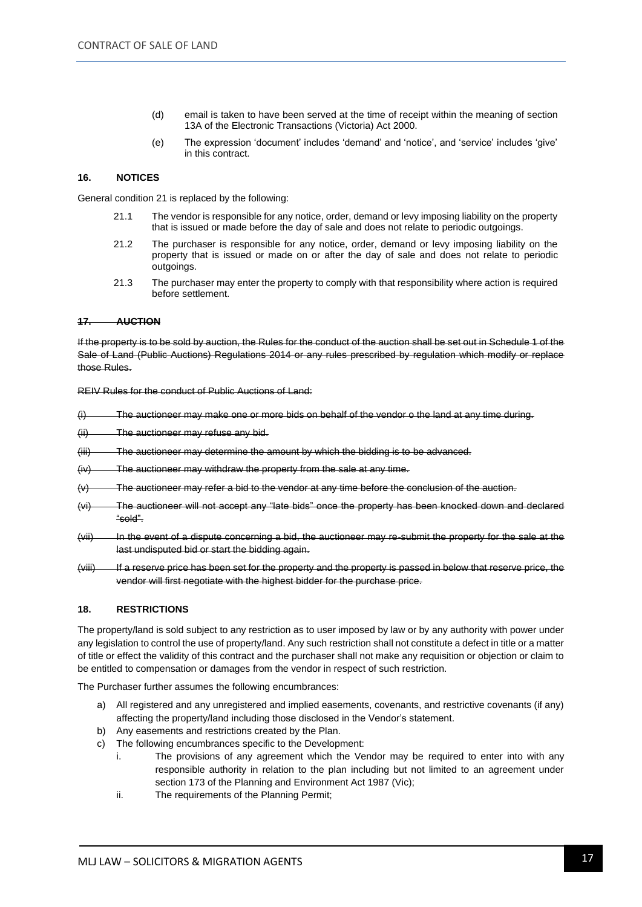- (d) email is taken to have been served at the time of receipt within the meaning of section 13A of the Electronic Transactions (Victoria) Act 2000.
- (e) The expression 'document' includes 'demand' and 'notice', and 'service' includes 'give' in this contract.

#### **16. NOTICES**

General condition 21 is replaced by the following:

- 21.1 The vendor is responsible for any notice, order, demand or levy imposing liability on the property that is issued or made before the day of sale and does not relate to periodic outgoings.
- 21.2 The purchaser is responsible for any notice, order, demand or levy imposing liability on the property that is issued or made on or after the day of sale and does not relate to periodic outgoings.
- 21.3 The purchaser may enter the property to comply with that responsibility where action is required before settlement.

#### **17. AUCTION**

If the property is to be sold by auction, the Rules for the conduct of the auction shall be set out in Schedule 1 of the Sale of Land (Public Auctions) Regulations 2014 or any rules prescribed by regulation which modify or replace those Rules.

REIV Rules for the conduct of Public Auctions of Land:

- (i) The auctioneer may make one or more bids on behalf of the vendor o the land at any time during.
- (ii) The auctioneer may refuse any bid.
- (iii) The auctioneer may determine the amount by which the bidding is to be advanced.
- (iv) The auctioneer may withdraw the property from the sale at any time.
- $(v)$  The auctioneer may refer a bid to the vendor at any time before the conclusion of the auction.
- (vi) The auctioneer will not accept any "late bids" once the property has been knocked down and declared "sold".
- (vii) In the event of a dispute concerning a bid, the auctioneer may re-submit the property for the sale at the last undisputed bid or start the bidding again.
- (viii) If a reserve price has been set for the property and the property is passed in below that reserve price, the vendor will first negotiate with the highest bidder for the purchase price.

#### **18. RESTRICTIONS**

The property/land is sold subject to any restriction as to user imposed by law or by any authority with power under any legislation to control the use of property/land. Any such restriction shall not constitute a defect in title or a matter of title or effect the validity of this contract and the purchaser shall not make any requisition or objection or claim to be entitled to compensation or damages from the vendor in respect of such restriction.

The Purchaser further assumes the following encumbrances:

- a) All registered and any unregistered and implied easements, covenants, and restrictive covenants (if any) affecting the property/land including those disclosed in the Vendor's statement.
- b) Any easements and restrictions created by the Plan.
- c) The following encumbrances specific to the Development:
	- i. The provisions of any agreement which the Vendor may be required to enter into with any responsible authority in relation to the plan including but not limited to an agreement under section 173 of the Planning and Environment Act 1987 (Vic);
	- ii. The requirements of the Planning Permit;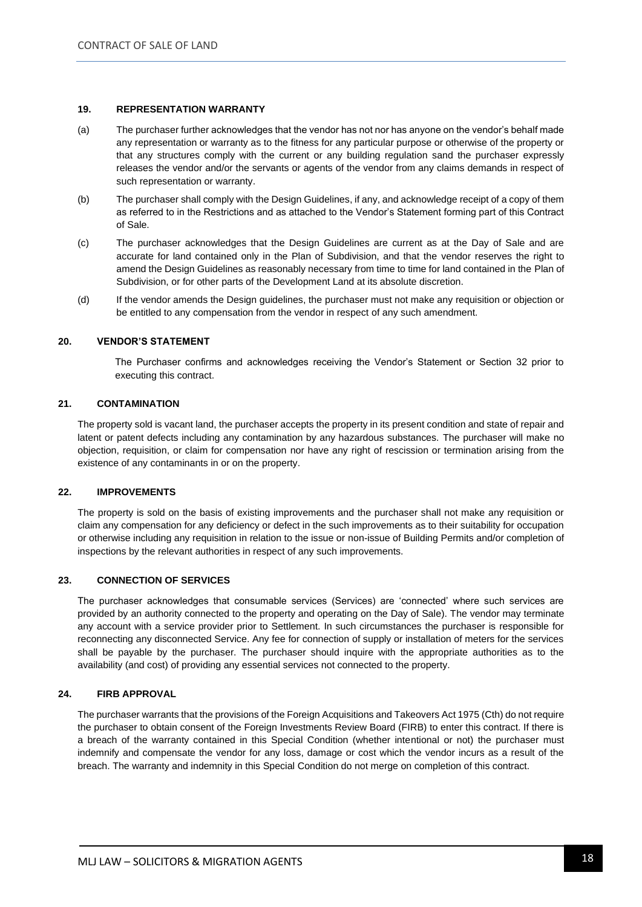#### **19. REPRESENTATION WARRANTY**

- (a) The purchaser further acknowledges that the vendor has not nor has anyone on the vendor's behalf made any representation or warranty as to the fitness for any particular purpose or otherwise of the property or that any structures comply with the current or any building regulation sand the purchaser expressly releases the vendor and/or the servants or agents of the vendor from any claims demands in respect of such representation or warranty.
- (b) The purchaser shall comply with the Design Guidelines, if any, and acknowledge receipt of a copy of them as referred to in the Restrictions and as attached to the Vendor's Statement forming part of this Contract of Sale.
- (c) The purchaser acknowledges that the Design Guidelines are current as at the Day of Sale and are accurate for land contained only in the Plan of Subdivision, and that the vendor reserves the right to amend the Design Guidelines as reasonably necessary from time to time for land contained in the Plan of Subdivision, or for other parts of the Development Land at its absolute discretion.
- (d) If the vendor amends the Design guidelines, the purchaser must not make any requisition or objection or be entitled to any compensation from the vendor in respect of any such amendment.

#### **20. VENDOR'S STATEMENT**

The Purchaser confirms and acknowledges receiving the Vendor's Statement or Section 32 prior to executing this contract.

#### **21. CONTAMINATION**

The property sold is vacant land, the purchaser accepts the property in its present condition and state of repair and latent or patent defects including any contamination by any hazardous substances. The purchaser will make no objection, requisition, or claim for compensation nor have any right of rescission or termination arising from the existence of any contaminants in or on the property.

#### **22. IMPROVEMENTS**

The property is sold on the basis of existing improvements and the purchaser shall not make any requisition or claim any compensation for any deficiency or defect in the such improvements as to their suitability for occupation or otherwise including any requisition in relation to the issue or non-issue of Building Permits and/or completion of inspections by the relevant authorities in respect of any such improvements.

#### **23. CONNECTION OF SERVICES**

The purchaser acknowledges that consumable services (Services) are 'connected' where such services are provided by an authority connected to the property and operating on the Day of Sale). The vendor may terminate any account with a service provider prior to Settlement. In such circumstances the purchaser is responsible for reconnecting any disconnected Service. Any fee for connection of supply or installation of meters for the services shall be payable by the purchaser. The purchaser should inquire with the appropriate authorities as to the availability (and cost) of providing any essential services not connected to the property.

#### **24. FIRB APPROVAL**

The purchaser warrants that the provisions of the Foreign Acquisitions and Takeovers Act 1975 (Cth) do not require the purchaser to obtain consent of the Foreign Investments Review Board (FIRB) to enter this contract. If there is a breach of the warranty contained in this Special Condition (whether intentional or not) the purchaser must indemnify and compensate the vendor for any loss, damage or cost which the vendor incurs as a result of the breach. The warranty and indemnity in this Special Condition do not merge on completion of this contract.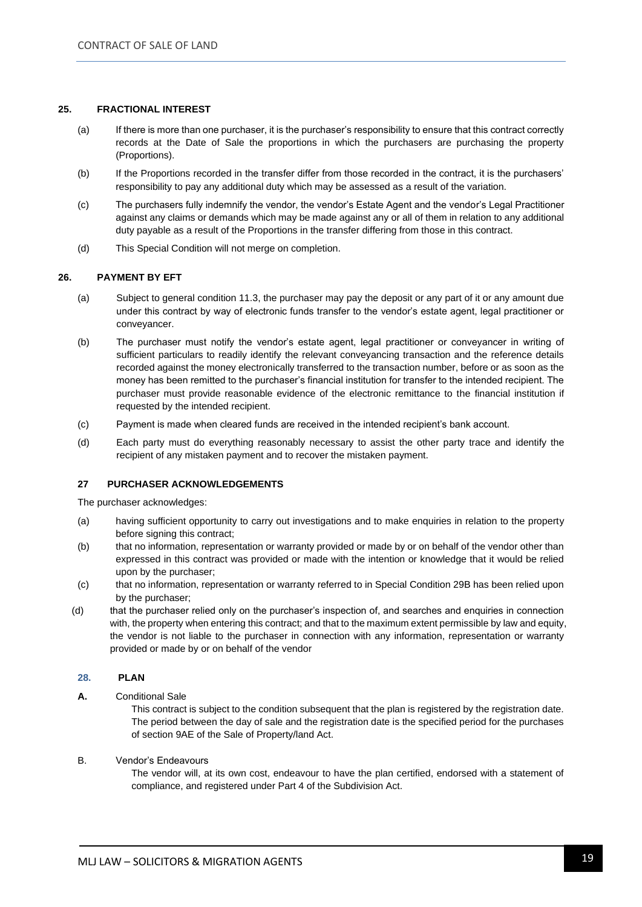#### **25. FRACTIONAL INTEREST**

- (a) If there is more than one purchaser, it is the purchaser's responsibility to ensure that this contract correctly records at the Date of Sale the proportions in which the purchasers are purchasing the property (Proportions).
- (b) If the Proportions recorded in the transfer differ from those recorded in the contract, it is the purchasers' responsibility to pay any additional duty which may be assessed as a result of the variation.
- (c) The purchasers fully indemnify the vendor, the vendor's Estate Agent and the vendor's Legal Practitioner against any claims or demands which may be made against any or all of them in relation to any additional duty payable as a result of the Proportions in the transfer differing from those in this contract.
- (d) This Special Condition will not merge on completion.

#### **26. PAYMENT BY EFT**

- (a) Subject to general condition 11.3, the purchaser may pay the deposit or any part of it or any amount due under this contract by way of electronic funds transfer to the vendor's estate agent, legal practitioner or conveyancer.
- (b) The purchaser must notify the vendor's estate agent, legal practitioner or conveyancer in writing of sufficient particulars to readily identify the relevant conveyancing transaction and the reference details recorded against the money electronically transferred to the transaction number, before or as soon as the money has been remitted to the purchaser's financial institution for transfer to the intended recipient. The purchaser must provide reasonable evidence of the electronic remittance to the financial institution if requested by the intended recipient.
- (c) Payment is made when cleared funds are received in the intended recipient's bank account.
- (d) Each party must do everything reasonably necessary to assist the other party trace and identify the recipient of any mistaken payment and to recover the mistaken payment.

#### **27 PURCHASER ACKNOWLEDGEMENTS**

The purchaser acknowledges:

- (a) having sufficient opportunity to carry out investigations and to make enquiries in relation to the property before signing this contract;
- (b) that no information, representation or warranty provided or made by or on behalf of the vendor other than expressed in this contract was provided or made with the intention or knowledge that it would be relied upon by the purchaser;
- (c) that no information, representation or warranty referred to in Special Condition 29B has been relied upon by the purchaser;
- (d) that the purchaser relied only on the purchaser's inspection of, and searches and enquiries in connection with, the property when entering this contract; and that to the maximum extent permissible by law and equity, the vendor is not liable to the purchaser in connection with any information, representation or warranty provided or made by or on behalf of the vendor

#### **28. PLAN**

**A.** Conditional Sale

This contract is subject to the condition subsequent that the plan is registered by the registration date. The period between the day of sale and the registration date is the specified period for the purchases of section 9AE of the Sale of Property/land Act.

#### B. Vendor's Endeavours

The vendor will, at its own cost, endeavour to have the plan certified, endorsed with a statement of compliance, and registered under Part 4 of the Subdivision Act.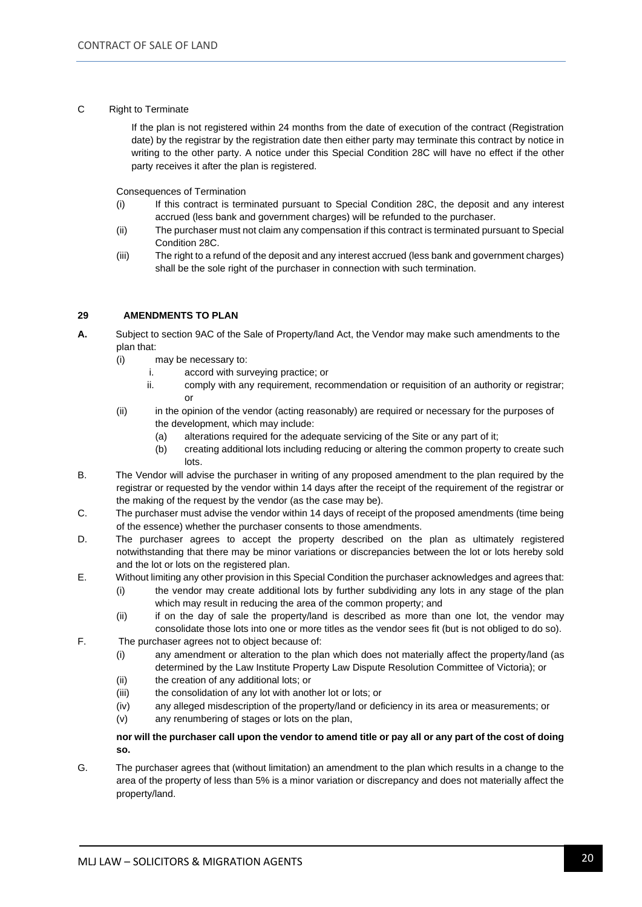#### C Right to Terminate

If the plan is not registered within 24 months from the date of execution of the contract (Registration date) by the registrar by the registration date then either party may terminate this contract by notice in writing to the other party. A notice under this Special Condition 28C will have no effect if the other party receives it after the plan is registered.

Consequences of Termination

- (i) If this contract is terminated pursuant to Special Condition 28C, the deposit and any interest accrued (less bank and government charges) will be refunded to the purchaser.
- (ii) The purchaser must not claim any compensation if this contract is terminated pursuant to Special Condition 28C.
- (iii) The right to a refund of the deposit and any interest accrued (less bank and government charges) shall be the sole right of the purchaser in connection with such termination.

#### **29 AMENDMENTS TO PLAN**

- **A.** Subject to section 9AC of the Sale of Property/land Act, the Vendor may make such amendments to the plan that:
	- (i) may be necessary to:
		- i. accord with surveying practice; or
		- ii. comply with any requirement, recommendation or requisition of an authority or registrar; or
	- (ii) in the opinion of the vendor (acting reasonably) are required or necessary for the purposes of the development, which may include:
		- (a) alterations required for the adequate servicing of the Site or any part of it;
		- (b) creating additional lots including reducing or altering the common property to create such lots.
- B. The Vendor will advise the purchaser in writing of any proposed amendment to the plan required by the registrar or requested by the vendor within 14 days after the receipt of the requirement of the registrar or the making of the request by the vendor (as the case may be).
- C. The purchaser must advise the vendor within 14 days of receipt of the proposed amendments (time being of the essence) whether the purchaser consents to those amendments.
- D. The purchaser agrees to accept the property described on the plan as ultimately registered notwithstanding that there may be minor variations or discrepancies between the lot or lots hereby sold and the lot or lots on the registered plan.
- E. Without limiting any other provision in this Special Condition the purchaser acknowledges and agrees that:
	- (i) the vendor may create additional lots by further subdividing any lots in any stage of the plan which may result in reducing the area of the common property; and
		- (ii) if on the day of sale the property/land is described as more than one lot, the vendor may consolidate those lots into one or more titles as the vendor sees fit (but is not obliged to do so).
- F. The purchaser agrees not to object because of:
	- (i) any amendment or alteration to the plan which does not materially affect the property/land (as determined by the Law Institute Property Law Dispute Resolution Committee of Victoria); or
	- (ii) the creation of any additional lots; or
	- (iii) the consolidation of any lot with another lot or lots; or
	- (iv) any alleged misdescription of the property/land or deficiency in its area or measurements; or
	- (v) any renumbering of stages or lots on the plan,

#### **nor will the purchaser call upon the vendor to amend title or pay all or any part of the cost of doing so.**

G. The purchaser agrees that (without limitation) an amendment to the plan which results in a change to the area of the property of less than 5% is a minor variation or discrepancy and does not materially affect the property/land.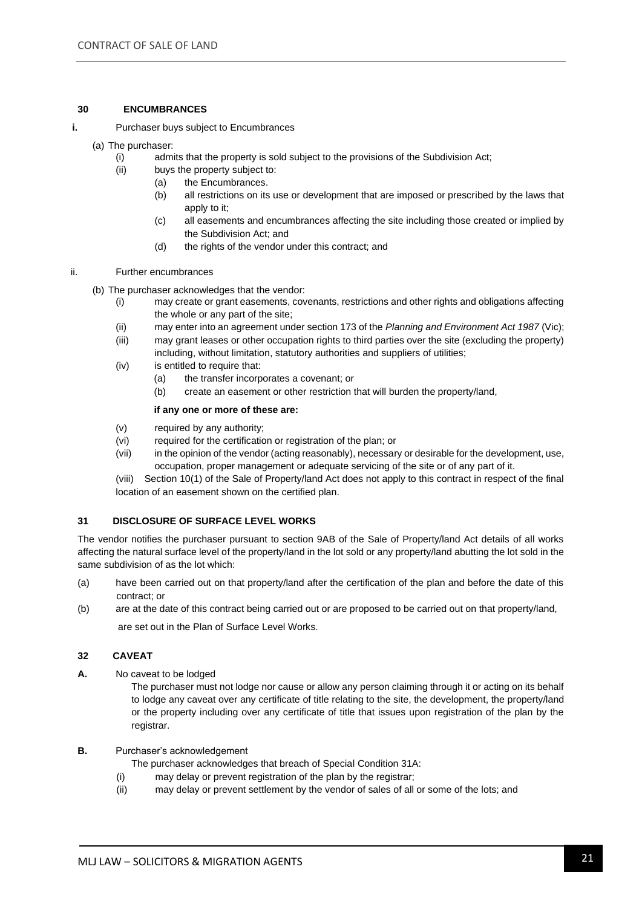#### **30 ENCUMBRANCES**

- **i.** Purchaser buys subject to Encumbrances
	- (a) The purchaser:
		- (i) admits that the property is sold subject to the provisions of the Subdivision Act;
		- (ii) buys the property subject to:
			- (a) the Encumbrances.
			- (b) all restrictions on its use or development that are imposed or prescribed by the laws that apply to it;
			- (c) all easements and encumbrances affecting the site including those created or implied by the Subdivision Act; and
			- (d) the rights of the vendor under this contract; and
- ii. Further encumbrances
	- (b) The purchaser acknowledges that the vendor:
		- (i) may create or grant easements, covenants, restrictions and other rights and obligations affecting the whole or any part of the site;
		- (ii) may enter into an agreement under section 173 of the *Planning and Environment Act 1987* (Vic);
		- (iii) may grant leases or other occupation rights to third parties over the site (excluding the property) including, without limitation, statutory authorities and suppliers of utilities;
		- (iv) is entitled to require that:
			- (a) the transfer incorporates a covenant; or
			- (b) create an easement or other restriction that will burden the property/land,

#### **if any one or more of these are:**

- (v) required by any authority;
- (vi) required for the certification or registration of the plan; or
- (vii) in the opinion of the vendor (acting reasonably), necessary or desirable for the development, use, occupation, proper management or adequate servicing of the site or of any part of it.

(viii) Section 10(1) of the Sale of Property/land Act does not apply to this contract in respect of the final location of an easement shown on the certified plan.

#### **31 DISCLOSURE OF SURFACE LEVEL WORKS**

The vendor notifies the purchaser pursuant to section 9AB of the Sale of Property/land Act details of all works affecting the natural surface level of the property/land in the lot sold or any property/land abutting the lot sold in the same subdivision of as the lot which:

- (a) have been carried out on that property/land after the certification of the plan and before the date of this contract; or
- (b) are at the date of this contract being carried out or are proposed to be carried out on that property/land, are set out in the Plan of Surface Level Works.

#### **32 CAVEAT**

**A.** No caveat to be lodged

The purchaser must not lodge nor cause or allow any person claiming through it or acting on its behalf to lodge any caveat over any certificate of title relating to the site, the development, the property/land or the property including over any certificate of title that issues upon registration of the plan by the registrar.

#### **B.** Purchaser's acknowledgement

The purchaser acknowledges that breach of Special Condition 31A:

- (i) may delay or prevent registration of the plan by the registrar;
- (ii) may delay or prevent settlement by the vendor of sales of all or some of the lots; and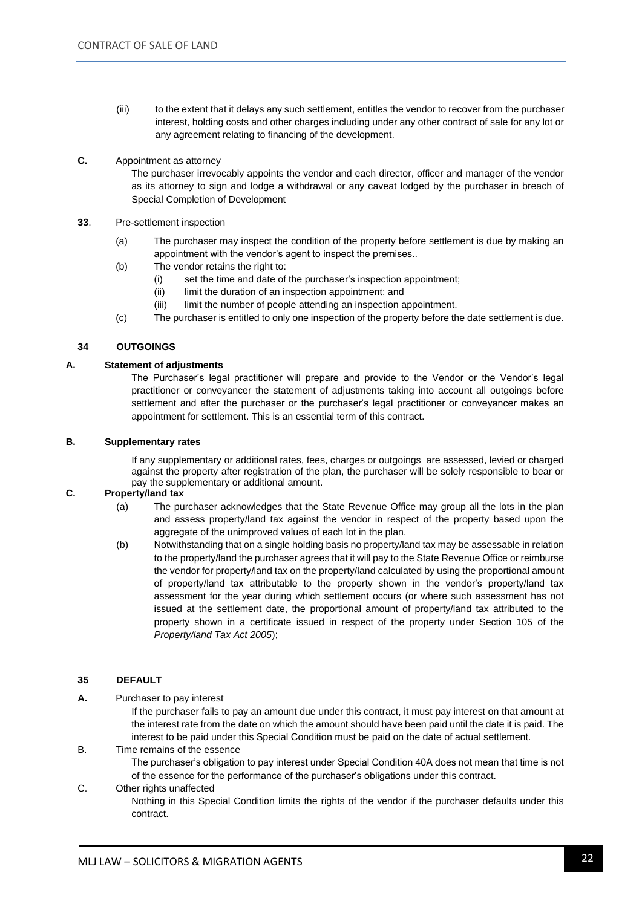- (iii) to the extent that it delays any such settlement, entitles the vendor to recover from the purchaser interest, holding costs and other charges including under any other contract of sale for any lot or any agreement relating to financing of the development.
- **C.** Appointment as attorney

The purchaser irrevocably appoints the vendor and each director, officer and manager of the vendor as its attorney to sign and lodge a withdrawal or any caveat lodged by the purchaser in breach of Special Completion of Development

- **33**. Pre-settlement inspection
	- (a) The purchaser may inspect the condition of the property before settlement is due by making an appointment with the vendor's agent to inspect the premises..
	- (b) The vendor retains the right to:
		- (i) set the time and date of the purchaser's inspection appointment;
		- (ii) limit the duration of an inspection appointment; and
		- (iii) limit the number of people attending an inspection appointment.
	- (c) The purchaser is entitled to only one inspection of the property before the date settlement is due.

#### **34 OUTGOINGS**

#### **A. Statement of adjustments**

The Purchaser's legal practitioner will prepare and provide to the Vendor or the Vendor's legal practitioner or conveyancer the statement of adjustments taking into account all outgoings before settlement and after the purchaser or the purchaser's legal practitioner or conveyancer makes an appointment for settlement. This is an essential term of this contract.

#### **B. Supplementary rates**

If any supplementary or additional rates, fees, charges or outgoings are assessed, levied or charged against the property after registration of the plan, the purchaser will be solely responsible to bear or pay the supplementary or additional amount.

#### **C. Property/land tax**

- (a) The purchaser acknowledges that the State Revenue Office may group all the lots in the plan and assess property/land tax against the vendor in respect of the property based upon the aggregate of the unimproved values of each lot in the plan.
- (b) Notwithstanding that on a single holding basis no property/land tax may be assessable in relation to the property/land the purchaser agrees that it will pay to the State Revenue Office or reimburse the vendor for property/land tax on the property/land calculated by using the proportional amount of property/land tax attributable to the property shown in the vendor's property/land tax assessment for the year during which settlement occurs (or where such assessment has not issued at the settlement date, the proportional amount of property/land tax attributed to the property shown in a certificate issued in respect of the property under Section 105 of the *Property/land Tax Act 2005*);

#### **35 DEFAULT**

**A.** Purchaser to pay interest

If the purchaser fails to pay an amount due under this contract, it must pay interest on that amount at the interest rate from the date on which the amount should have been paid until the date it is paid. The interest to be paid under this Special Condition must be paid on the date of actual settlement.

B. Time remains of the essence

The purchaser's obligation to pay interest under Special Condition 40A does not mean that time is not of the essence for the performance of the purchaser's obligations under this contract.

#### C. Other rights unaffected Nothing in this Special Condition limits the rights of the vendor if the purchaser defaults under this contract.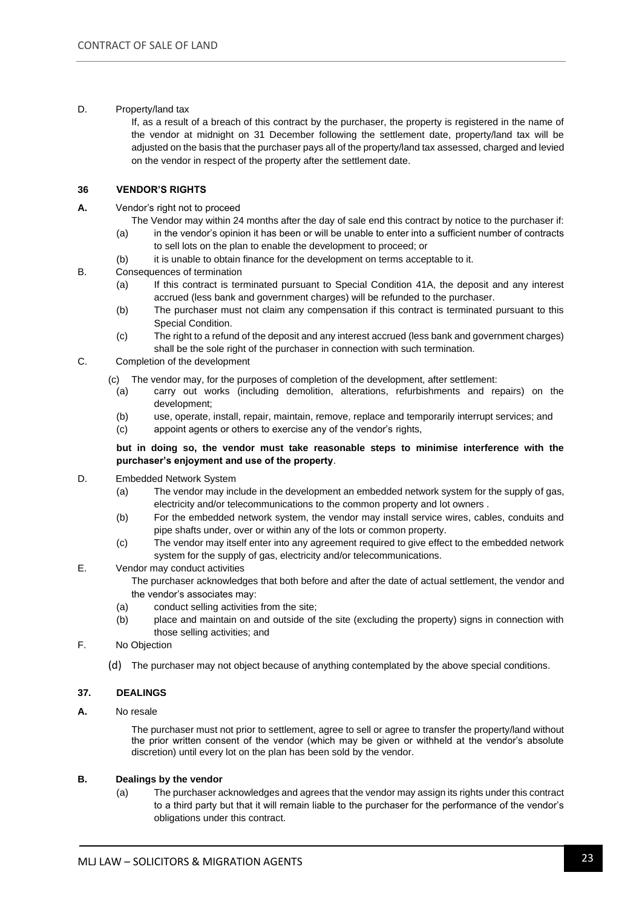D. Property/land tax

If, as a result of a breach of this contract by the purchaser, the property is registered in the name of the vendor at midnight on 31 December following the settlement date, property/land tax will be adjusted on the basis that the purchaser pays all of the property/land tax assessed, charged and levied on the vendor in respect of the property after the settlement date.

#### **36 VENDOR'S RIGHTS**

- **A.** Vendor's right not to proceed
	- The Vendor may within 24 months after the day of sale end this contract by notice to the purchaser if:
	- (a) in the vendor's opinion it has been or will be unable to enter into a sufficient number of contracts to sell lots on the plan to enable the development to proceed; or
	- (b) it is unable to obtain finance for the development on terms acceptable to it.
- B. Consequences of termination
	- (a) If this contract is terminated pursuant to Special Condition 41A, the deposit and any interest accrued (less bank and government charges) will be refunded to the purchaser.
	- (b) The purchaser must not claim any compensation if this contract is terminated pursuant to this Special Condition.
	- (c) The right to a refund of the deposit and any interest accrued (less bank and government charges) shall be the sole right of the purchaser in connection with such termination.
- C. Completion of the development
	- (c) The vendor may, for the purposes of completion of the development, after settlement:
		- (a) carry out works (including demolition, alterations, refurbishments and repairs) on the development;
		- (b) use, operate, install, repair, maintain, remove, replace and temporarily interrupt services; and
		- (c) appoint agents or others to exercise any of the vendor's rights,

#### **but in doing so, the vendor must take reasonable steps to minimise interference with the purchaser's enjoyment and use of the property**.

- D. Embedded Network System
	- (a) The vendor may include in the development an embedded network system for the supply of gas, electricity and/or telecommunications to the common property and lot owners .
	- (b) For the embedded network system, the vendor may install service wires, cables, conduits and pipe shafts under, over or within any of the lots or common property.
	- (c) The vendor may itself enter into any agreement required to give effect to the embedded network system for the supply of gas, electricity and/or telecommunications.
- E. Vendor may conduct activities
	- The purchaser acknowledges that both before and after the date of actual settlement, the vendor and the vendor's associates may:
	- (a) conduct selling activities from the site;
	- (b) place and maintain on and outside of the site (excluding the property) signs in connection with those selling activities; and
- F. No Objection
	- (d) The purchaser may not object because of anything contemplated by the above special conditions.

#### **37. DEALINGS**

**A.** No resale

The purchaser must not prior to settlement, agree to sell or agree to transfer the property/land without the prior written consent of the vendor (which may be given or withheld at the vendor's absolute discretion) until every lot on the plan has been sold by the vendor.

#### **B. Dealings by the vendor**

(a) The purchaser acknowledges and agrees that the vendor may assign its rights under this contract to a third party but that it will remain liable to the purchaser for the performance of the vendor's obligations under this contract.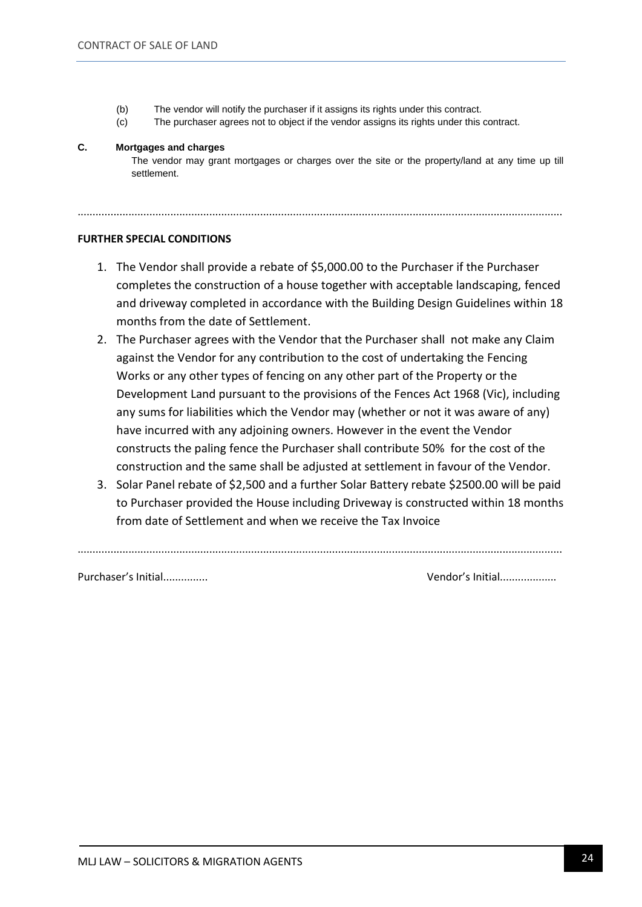- (b) The vendor will notify the purchaser if it assigns its rights under this contract.
- (c) The purchaser agrees not to object if the vendor assigns its rights under this contract.

..................................................................................................................................................................

#### **C. Mortgages and charges**

The vendor may grant mortgages or charges over the site or the property/land at any time up till settlement.

#### **FURTHER SPECIAL CONDITIONS**

- 1. The Vendor shall provide a rebate of \$5,000.00 to the Purchaser if the Purchaser completes the construction of a house together with acceptable landscaping, fenced and driveway completed in accordance with the Building Design Guidelines within 18 months from the date of Settlement.
- 2. The Purchaser agrees with the Vendor that the Purchaser shall not make any Claim against the Vendor for any contribution to the cost of undertaking the Fencing Works or any other types of fencing on any other part of the Property or the Development Land pursuant to the provisions of the Fences Act 1968 (Vic), including any sums for liabilities which the Vendor may (whether or not it was aware of any) have incurred with any adjoining owners. However in the event the Vendor constructs the paling fence the Purchaser shall contribute 50% for the cost of the construction and the same shall be adjusted at settlement in favour of the Vendor.
- 3. Solar Panel rebate of \$2,500 and a further Solar Battery rebate \$2500.00 will be paid to Purchaser provided the House including Driveway is constructed within 18 months from date of Settlement and when we receive the Tax Invoice

..................................................................................................................................................................

Purchaser's Initial............... Vendor's Initial...................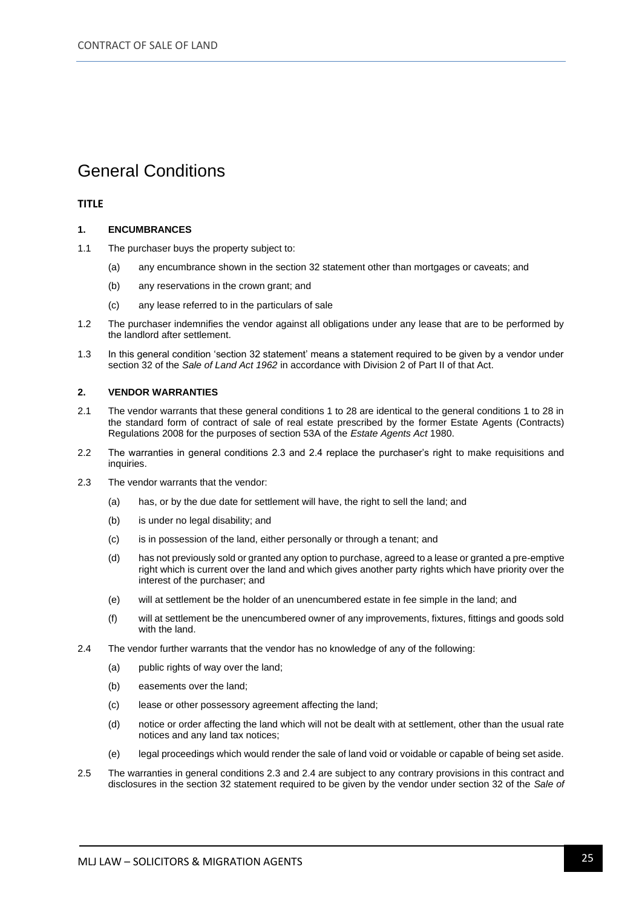### General Conditions

#### **TITLE**

#### **1. ENCUMBRANCES**

- 1.1 The purchaser buys the property subject to:
	- (a) any encumbrance shown in the section 32 statement other than mortgages or caveats; and
	- (b) any reservations in the crown grant; and
	- (c) any lease referred to in the particulars of sale
- 1.2 The purchaser indemnifies the vendor against all obligations under any lease that are to be performed by the landlord after settlement.
- 1.3 In this general condition 'section 32 statement' means a statement required to be given by a vendor under section 32 of the *Sale of Land Act 1962* in accordance with Division 2 of Part II of that Act.

#### **2. VENDOR WARRANTIES**

- 2.1 The vendor warrants that these general conditions 1 to 28 are identical to the general conditions 1 to 28 in the standard form of contract of sale of real estate prescribed by the former Estate Agents (Contracts) Regulations 2008 for the purposes of section 53A of the *Estate Agents Act* 1980.
- 2.2 The warranties in general conditions 2.3 and 2.4 replace the purchaser's right to make requisitions and inquiries.
- 2.3 The vendor warrants that the vendor:
	- (a) has, or by the due date for settlement will have, the right to sell the land; and
	- (b) is under no legal disability; and
	- (c) is in possession of the land, either personally or through a tenant; and
	- (d) has not previously sold or granted any option to purchase, agreed to a lease or granted a pre-emptive right which is current over the land and which gives another party rights which have priority over the interest of the purchaser; and
	- (e) will at settlement be the holder of an unencumbered estate in fee simple in the land; and
	- (f) will at settlement be the unencumbered owner of any improvements, fixtures, fittings and goods sold with the land.
- 2.4 The vendor further warrants that the vendor has no knowledge of any of the following:
	- (a) public rights of way over the land:
	- (b) easements over the land;
	- (c) lease or other possessory agreement affecting the land;
	- (d) notice or order affecting the land which will not be dealt with at settlement, other than the usual rate notices and any land tax notices;
	- (e) legal proceedings which would render the sale of land void or voidable or capable of being set aside.
- 2.5 The warranties in general conditions 2.3 and 2.4 are subject to any contrary provisions in this contract and disclosures in the section 32 statement required to be given by the vendor under section 32 of the *Sale of*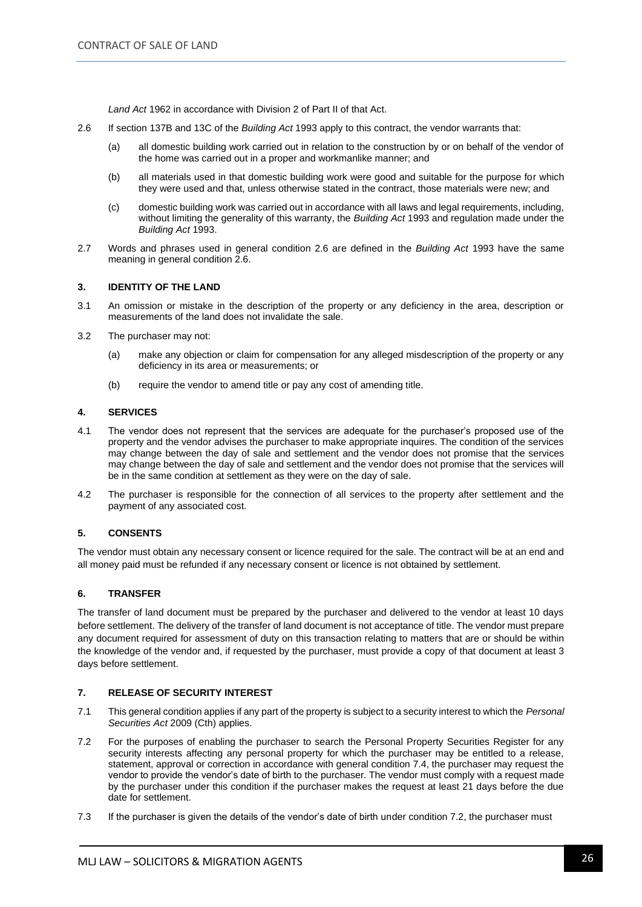*Land Act* 1962 in accordance with Division 2 of Part II of that Act.

- 2.6 If section 137B and 13C of the *Building Act* 1993 apply to this contract, the vendor warrants that:
	- (a) all domestic building work carried out in relation to the construction by or on behalf of the vendor of the home was carried out in a proper and workmanlike manner; and
	- (b) all materials used in that domestic building work were good and suitable for the purpose for which they were used and that, unless otherwise stated in the contract, those materials were new; and
	- (c) domestic building work was carried out in accordance with all laws and legal requirements, including, without limiting the generality of this warranty, the *Building Act* 1993 and regulation made under the *Building Act* 1993.
- 2.7 Words and phrases used in general condition 2.6 are defined in the *Building Act* 1993 have the same meaning in general condition 2.6.

#### **3. IDENTITY OF THE LAND**

- 3.1 An omission or mistake in the description of the property or any deficiency in the area, description or measurements of the land does not invalidate the sale.
- 3.2 The purchaser may not:
	- (a) make any objection or claim for compensation for any alleged misdescription of the property or any deficiency in its area or measurements; or
	- (b) require the vendor to amend title or pay any cost of amending title.

#### **4. SERVICES**

- 4.1 The vendor does not represent that the services are adequate for the purchaser's proposed use of the property and the vendor advises the purchaser to make appropriate inquires. The condition of the services may change between the day of sale and settlement and the vendor does not promise that the services may change between the day of sale and settlement and the vendor does not promise that the services will be in the same condition at settlement as they were on the day of sale.
- 4.2 The purchaser is responsible for the connection of all services to the property after settlement and the payment of any associated cost.

#### **5. CONSENTS**

The vendor must obtain any necessary consent or licence required for the sale. The contract will be at an end and all money paid must be refunded if any necessary consent or licence is not obtained by settlement.

#### **6. TRANSFER**

The transfer of land document must be prepared by the purchaser and delivered to the vendor at least 10 days before settlement. The delivery of the transfer of land document is not acceptance of title. The vendor must prepare any document required for assessment of duty on this transaction relating to matters that are or should be within the knowledge of the vendor and, if requested by the purchaser, must provide a copy of that document at least 3 days before settlement.

#### **7. RELEASE OF SECURITY INTEREST**

- 7.1 This general condition applies if any part of the property is subject to a security interest to which the *Personal Securities Act* 2009 (Cth) applies.
- 7.2 For the purposes of enabling the purchaser to search the Personal Property Securities Register for any security interests affecting any personal property for which the purchaser may be entitled to a release, statement, approval or correction in accordance with general condition 7.4, the purchaser may request the vendor to provide the vendor's date of birth to the purchaser. The vendor must comply with a request made by the purchaser under this condition if the purchaser makes the request at least 21 days before the due date for settlement.
- 7.3 If the purchaser is given the details of the vendor's date of birth under condition 7.2, the purchaser must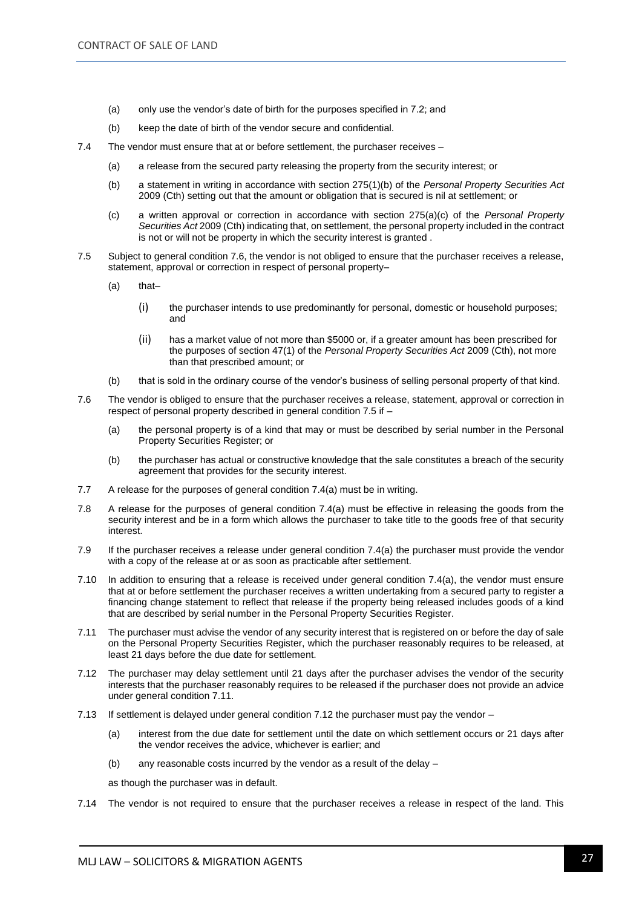- (a) only use the vendor's date of birth for the purposes specified in 7.2; and
- (b) keep the date of birth of the vendor secure and confidential.
- 7.4 The vendor must ensure that at or before settlement, the purchaser receives
	- (a) a release from the secured party releasing the property from the security interest; or
	- (b) a statement in writing in accordance with section 275(1)(b) of the *Personal Property Securities Act*  2009 (Cth) setting out that the amount or obligation that is secured is nil at settlement; or
	- (c) a written approval or correction in accordance with section 275(a)(c) of the *Personal Property Securities Act* 2009 (Cth) indicating that, on settlement, the personal property included in the contract is not or will not be property in which the security interest is granted .
- 7.5 Subject to general condition 7.6, the vendor is not obliged to ensure that the purchaser receives a release, statement, approval or correction in respect of personal property–
	- (a) that–
		- (i) the purchaser intends to use predominantly for personal, domestic or household purposes; and
		- (ii) has a market value of not more than \$5000 or, if a greater amount has been prescribed for the purposes of section 47(1) of the *Personal Property Securities Act* 2009 (Cth), not more than that prescribed amount; or
	- (b) that is sold in the ordinary course of the vendor's business of selling personal property of that kind.
- 7.6 The vendor is obliged to ensure that the purchaser receives a release, statement, approval or correction in respect of personal property described in general condition 7.5 if –
	- (a) the personal property is of a kind that may or must be described by serial number in the Personal Property Securities Register; or
	- (b) the purchaser has actual or constructive knowledge that the sale constitutes a breach of the security agreement that provides for the security interest.
- 7.7 A release for the purposes of general condition 7.4(a) must be in writing.
- 7.8 A release for the purposes of general condition 7.4(a) must be effective in releasing the goods from the security interest and be in a form which allows the purchaser to take title to the goods free of that security interest.
- 7.9 If the purchaser receives a release under general condition 7.4(a) the purchaser must provide the vendor with a copy of the release at or as soon as practicable after settlement.
- 7.10 In addition to ensuring that a release is received under general condition 7.4(a), the vendor must ensure that at or before settlement the purchaser receives a written undertaking from a secured party to register a financing change statement to reflect that release if the property being released includes goods of a kind that are described by serial number in the Personal Property Securities Register.
- 7.11 The purchaser must advise the vendor of any security interest that is registered on or before the day of sale on the Personal Property Securities Register, which the purchaser reasonably requires to be released, at least 21 days before the due date for settlement.
- 7.12 The purchaser may delay settlement until 21 days after the purchaser advises the vendor of the security interests that the purchaser reasonably requires to be released if the purchaser does not provide an advice under general condition 7.11.
- 7.13 If settlement is delayed under general condition 7.12 the purchaser must pay the vendor
	- (a) interest from the due date for settlement until the date on which settlement occurs or 21 days after the vendor receives the advice, whichever is earlier; and
	- (b) any reasonable costs incurred by the vendor as a result of the delay –

as though the purchaser was in default.

7.14 The vendor is not required to ensure that the purchaser receives a release in respect of the land. This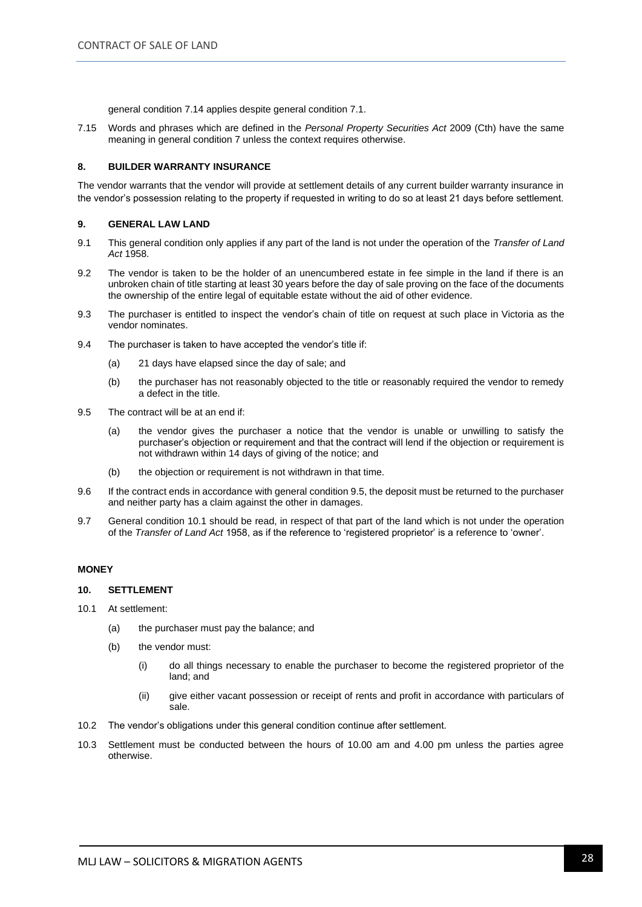general condition 7.14 applies despite general condition 7.1.

7.15 Words and phrases which are defined in the *Personal Property Securities Act* 2009 (Cth) have the same meaning in general condition 7 unless the context requires otherwise.

#### **8. BUILDER WARRANTY INSURANCE**

The vendor warrants that the vendor will provide at settlement details of any current builder warranty insurance in the vendor's possession relating to the property if requested in writing to do so at least 21 days before settlement.

#### **9. GENERAL LAW LAND**

- 9.1 This general condition only applies if any part of the land is not under the operation of the *Transfer of Land Act* 1958.
- 9.2 The vendor is taken to be the holder of an unencumbered estate in fee simple in the land if there is an unbroken chain of title starting at least 30 years before the day of sale proving on the face of the documents the ownership of the entire legal of equitable estate without the aid of other evidence.
- 9.3 The purchaser is entitled to inspect the vendor's chain of title on request at such place in Victoria as the vendor nominates.
- 9.4 The purchaser is taken to have accepted the vendor's title if:
	- (a) 21 days have elapsed since the day of sale; and
	- (b) the purchaser has not reasonably objected to the title or reasonably required the vendor to remedy a defect in the title.
- 9.5 The contract will be at an end if:
	- (a) the vendor gives the purchaser a notice that the vendor is unable or unwilling to satisfy the purchaser's objection or requirement and that the contract will lend if the objection or requirement is not withdrawn within 14 days of giving of the notice; and
	- (b) the objection or requirement is not withdrawn in that time.
- 9.6 If the contract ends in accordance with general condition 9.5, the deposit must be returned to the purchaser and neither party has a claim against the other in damages.
- 9.7 General condition 10.1 should be read, in respect of that part of the land which is not under the operation of the *Transfer of Land Act* 1958, as if the reference to 'registered proprietor' is a reference to 'owner'.

#### **MONEY**

#### **10. SETTLEMENT**

- 10.1 At settlement:
	- (a) the purchaser must pay the balance; and
	- (b) the vendor must:
		- (i) do all things necessary to enable the purchaser to become the registered proprietor of the land; and
		- (ii) give either vacant possession or receipt of rents and profit in accordance with particulars of sale.
- 10.2 The vendor's obligations under this general condition continue after settlement.
- 10.3 Settlement must be conducted between the hours of 10.00 am and 4.00 pm unless the parties agree otherwise.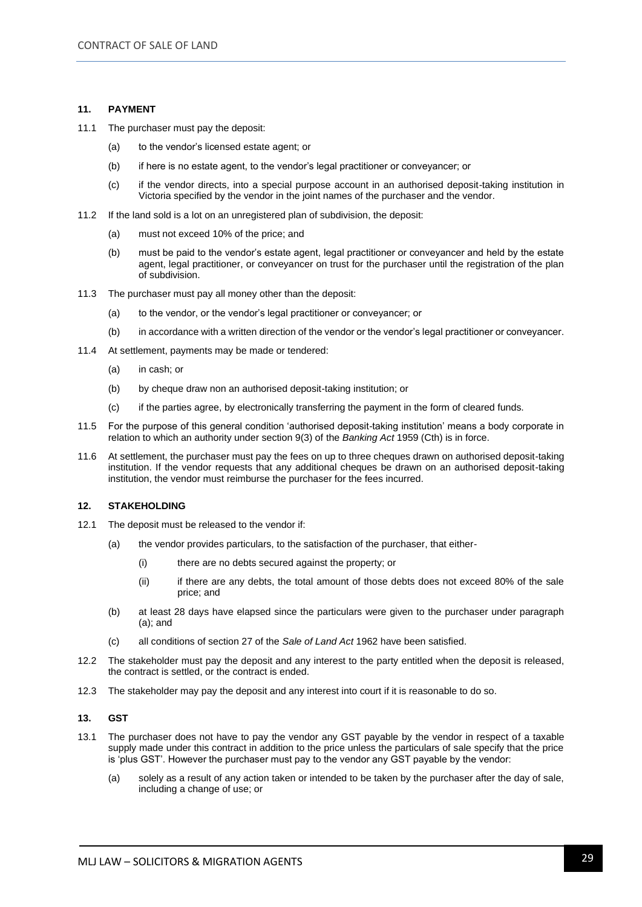#### **11. PAYMENT**

- 11.1 The purchaser must pay the deposit:
	- (a) to the vendor's licensed estate agent; or
	- (b) if here is no estate agent, to the vendor's legal practitioner or conveyancer; or
	- (c) if the vendor directs, into a special purpose account in an authorised deposit-taking institution in Victoria specified by the vendor in the joint names of the purchaser and the vendor.
- 11.2 If the land sold is a lot on an unregistered plan of subdivision, the deposit:
	- (a) must not exceed 10% of the price; and
	- (b) must be paid to the vendor's estate agent, legal practitioner or conveyancer and held by the estate agent, legal practitioner, or conveyancer on trust for the purchaser until the registration of the plan of subdivision.
- 11.3 The purchaser must pay all money other than the deposit:
	- (a) to the vendor, or the vendor's legal practitioner or conveyancer; or
	- (b) in accordance with a written direction of the vendor or the vendor's legal practitioner or conveyancer.
- 11.4 At settlement, payments may be made or tendered:
	- (a) in cash; or
	- (b) by cheque draw non an authorised deposit-taking institution; or
	- (c) if the parties agree, by electronically transferring the payment in the form of cleared funds.
- 11.5 For the purpose of this general condition 'authorised deposit-taking institution' means a body corporate in relation to which an authority under section 9(3) of the *Banking Act* 1959 (Cth) is in force.
- 11.6 At settlement, the purchaser must pay the fees on up to three cheques drawn on authorised deposit-taking institution. If the vendor requests that any additional cheques be drawn on an authorised deposit-taking institution, the vendor must reimburse the purchaser for the fees incurred.

#### **12. STAKEHOLDING**

- 12.1 The deposit must be released to the vendor if:
	- (a) the vendor provides particulars, to the satisfaction of the purchaser, that either-
		- (i) there are no debts secured against the property; or
		- (ii) if there are any debts, the total amount of those debts does not exceed 80% of the sale price; and
	- (b) at least 28 days have elapsed since the particulars were given to the purchaser under paragraph (a); and
	- (c) all conditions of section 27 of the *Sale of Land Act* 1962 have been satisfied.
- 12.2 The stakeholder must pay the deposit and any interest to the party entitled when the deposit is released, the contract is settled, or the contract is ended.
- 12.3 The stakeholder may pay the deposit and any interest into court if it is reasonable to do so.

#### **13. GST**

- 13.1 The purchaser does not have to pay the vendor any GST payable by the vendor in respect of a taxable supply made under this contract in addition to the price unless the particulars of sale specify that the price is 'plus GST'. However the purchaser must pay to the vendor any GST payable by the vendor:
	- (a) solely as a result of any action taken or intended to be taken by the purchaser after the day of sale, including a change of use; or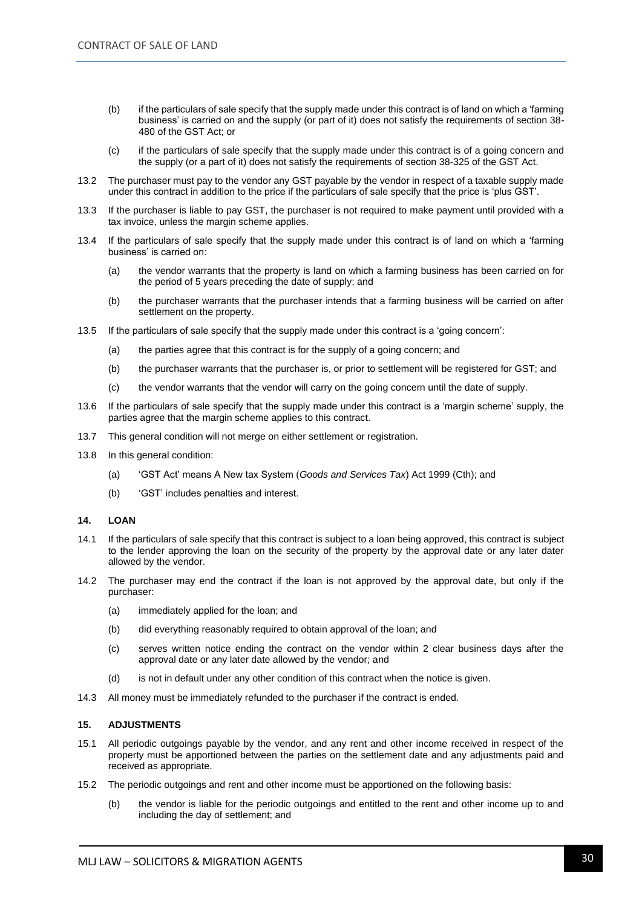- (b) if the particulars of sale specify that the supply made under this contract is of land on which a 'farming business' is carried on and the supply (or part of it) does not satisfy the requirements of section 38- 480 of the GST Act; or
- (c) if the particulars of sale specify that the supply made under this contract is of a going concern and the supply (or a part of it) does not satisfy the requirements of section 38-325 of the GST Act.
- 13.2 The purchaser must pay to the vendor any GST payable by the vendor in respect of a taxable supply made under this contract in addition to the price if the particulars of sale specify that the price is 'plus GST'.
- 13.3 If the purchaser is liable to pay GST, the purchaser is not required to make payment until provided with a tax invoice, unless the margin scheme applies.
- 13.4 If the particulars of sale specify that the supply made under this contract is of land on which a 'farming business' is carried on:
	- (a) the vendor warrants that the property is land on which a farming business has been carried on for the period of 5 years preceding the date of supply; and
	- (b) the purchaser warrants that the purchaser intends that a farming business will be carried on after settlement on the property.
- 13.5 If the particulars of sale specify that the supply made under this contract is a 'going concern':
	- (a) the parties agree that this contract is for the supply of a going concern; and
	- (b) the purchaser warrants that the purchaser is, or prior to settlement will be registered for GST; and
	- (c) the vendor warrants that the vendor will carry on the going concern until the date of supply.
- 13.6 If the particulars of sale specify that the supply made under this contract is a 'margin scheme' supply, the parties agree that the margin scheme applies to this contract.
- 13.7 This general condition will not merge on either settlement or registration.
- 13.8 In this general condition:
	- (a) 'GST Act' means A New tax System (*Goods and Services Tax*) Act 1999 (Cth); and
	- (b) 'GST' includes penalties and interest.

#### **14. LOAN**

- 14.1 If the particulars of sale specify that this contract is subject to a loan being approved, this contract is subject to the lender approving the loan on the security of the property by the approval date or any later dater allowed by the vendor.
- 14.2 The purchaser may end the contract if the loan is not approved by the approval date, but only if the purchaser:
	- (a) immediately applied for the loan; and
	- (b) did everything reasonably required to obtain approval of the loan; and
	- (c) serves written notice ending the contract on the vendor within 2 clear business days after the approval date or any later date allowed by the vendor; and
	- (d) is not in default under any other condition of this contract when the notice is given.
- 14.3 All money must be immediately refunded to the purchaser if the contract is ended.

#### **15. ADJUSTMENTS**

- 15.1 All periodic outgoings payable by the vendor, and any rent and other income received in respect of the property must be apportioned between the parties on the settlement date and any adjustments paid and received as appropriate.
- 15.2 The periodic outgoings and rent and other income must be apportioned on the following basis:
	- (b) the vendor is liable for the periodic outgoings and entitled to the rent and other income up to and including the day of settlement; and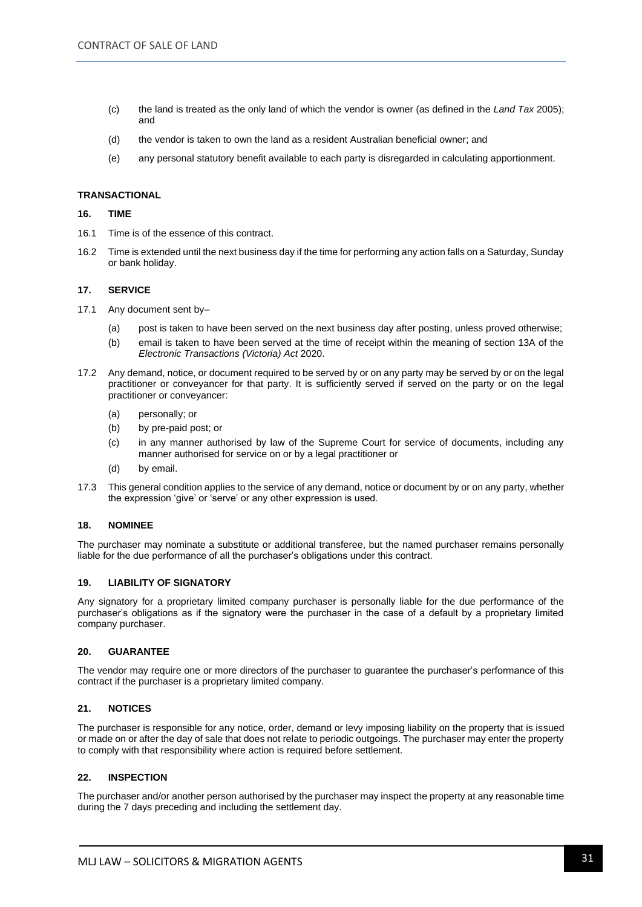- (c) the land is treated as the only land of which the vendor is owner (as defined in the *Land Tax* 2005); and
- (d) the vendor is taken to own the land as a resident Australian beneficial owner; and
- (e) any personal statutory benefit available to each party is disregarded in calculating apportionment.

#### **TRANSACTIONAL**

#### **16. TIME**

- 16.1 Time is of the essence of this contract.
- 16.2 Time is extended until the next business day if the time for performing any action falls on a Saturday, Sunday or bank holiday.

#### **17. SERVICE**

- 17.1 Any document sent by–
	- (a) post is taken to have been served on the next business day after posting, unless proved otherwise;
	- (b) email is taken to have been served at the time of receipt within the meaning of section 13A of the *Electronic Transactions (Victoria) Act* 2020.
- 17.2 Any demand, notice, or document required to be served by or on any party may be served by or on the legal practitioner or conveyancer for that party. It is sufficiently served if served on the party or on the legal practitioner or conveyancer:
	- (a) personally; or
	- (b) by pre-paid post; or
	- (c) in any manner authorised by law of the Supreme Court for service of documents, including any manner authorised for service on or by a legal practitioner or
	- (d) by email.
- 17.3 This general condition applies to the service of any demand, notice or document by or on any party, whether the expression 'give' or 'serve' or any other expression is used.

#### **18. NOMINEE**

The purchaser may nominate a substitute or additional transferee, but the named purchaser remains personally liable for the due performance of all the purchaser's obligations under this contract.

#### **19. LIABILITY OF SIGNATORY**

Any signatory for a proprietary limited company purchaser is personally liable for the due performance of the purchaser's obligations as if the signatory were the purchaser in the case of a default by a proprietary limited company purchaser.

#### **20. GUARANTEE**

The vendor may require one or more directors of the purchaser to guarantee the purchaser's performance of this contract if the purchaser is a proprietary limited company.

#### **21. NOTICES**

The purchaser is responsible for any notice, order, demand or levy imposing liability on the property that is issued or made on or after the day of sale that does not relate to periodic outgoings. The purchaser may enter the property to comply with that responsibility where action is required before settlement.

#### **22. INSPECTION**

The purchaser and/or another person authorised by the purchaser may inspect the property at any reasonable time during the 7 days preceding and including the settlement day.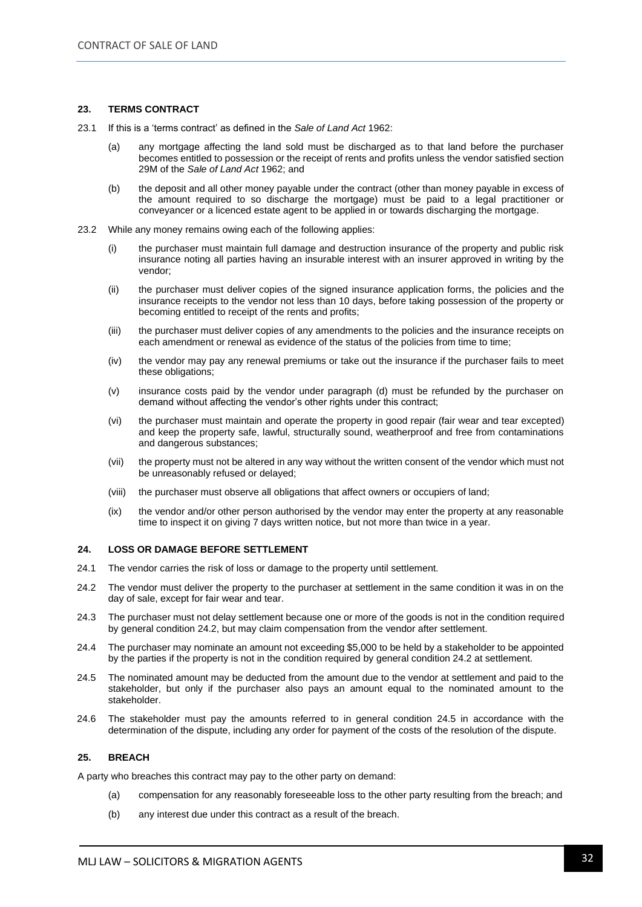#### **23. TERMS CONTRACT**

- 23.1 If this is a 'terms contract' as defined in the *Sale of Land Act* 1962:
	- (a) any mortgage affecting the land sold must be discharged as to that land before the purchaser becomes entitled to possession or the receipt of rents and profits unless the vendor satisfied section 29M of the *Sale of Land Act* 1962; and
	- (b) the deposit and all other money payable under the contract (other than money payable in excess of the amount required to so discharge the mortgage) must be paid to a legal practitioner or conveyancer or a licenced estate agent to be applied in or towards discharging the mortgage.
- 23.2 While any money remains owing each of the following applies:
	- (i) the purchaser must maintain full damage and destruction insurance of the property and public risk insurance noting all parties having an insurable interest with an insurer approved in writing by the vendor;
	- (ii) the purchaser must deliver copies of the signed insurance application forms, the policies and the insurance receipts to the vendor not less than 10 days, before taking possession of the property or becoming entitled to receipt of the rents and profits;
	- (iii) the purchaser must deliver copies of any amendments to the policies and the insurance receipts on each amendment or renewal as evidence of the status of the policies from time to time;
	- (iv) the vendor may pay any renewal premiums or take out the insurance if the purchaser fails to meet these obligations;
	- (v) insurance costs paid by the vendor under paragraph (d) must be refunded by the purchaser on demand without affecting the vendor's other rights under this contract;
	- (vi) the purchaser must maintain and operate the property in good repair (fair wear and tear excepted) and keep the property safe, lawful, structurally sound, weatherproof and free from contaminations and dangerous substances;
	- (vii) the property must not be altered in any way without the written consent of the vendor which must not be unreasonably refused or delayed;
	- (viii) the purchaser must observe all obligations that affect owners or occupiers of land;
	- (ix) the vendor and/or other person authorised by the vendor may enter the property at any reasonable time to inspect it on giving 7 days written notice, but not more than twice in a year.

#### **24. LOSS OR DAMAGE BEFORE SETTLEMENT**

- 24.1 The vendor carries the risk of loss or damage to the property until settlement.
- 24.2 The vendor must deliver the property to the purchaser at settlement in the same condition it was in on the day of sale, except for fair wear and tear.
- 24.3 The purchaser must not delay settlement because one or more of the goods is not in the condition required by general condition 24.2, but may claim compensation from the vendor after settlement.
- 24.4 The purchaser may nominate an amount not exceeding \$5,000 to be held by a stakeholder to be appointed by the parties if the property is not in the condition required by general condition 24.2 at settlement.
- 24.5 The nominated amount may be deducted from the amount due to the vendor at settlement and paid to the stakeholder, but only if the purchaser also pays an amount equal to the nominated amount to the stakeholder.
- 24.6 The stakeholder must pay the amounts referred to in general condition 24.5 in accordance with the determination of the dispute, including any order for payment of the costs of the resolution of the dispute.

#### **25. BREACH**

A party who breaches this contract may pay to the other party on demand:

- (a) compensation for any reasonably foreseeable loss to the other party resulting from the breach; and
- (b) any interest due under this contract as a result of the breach.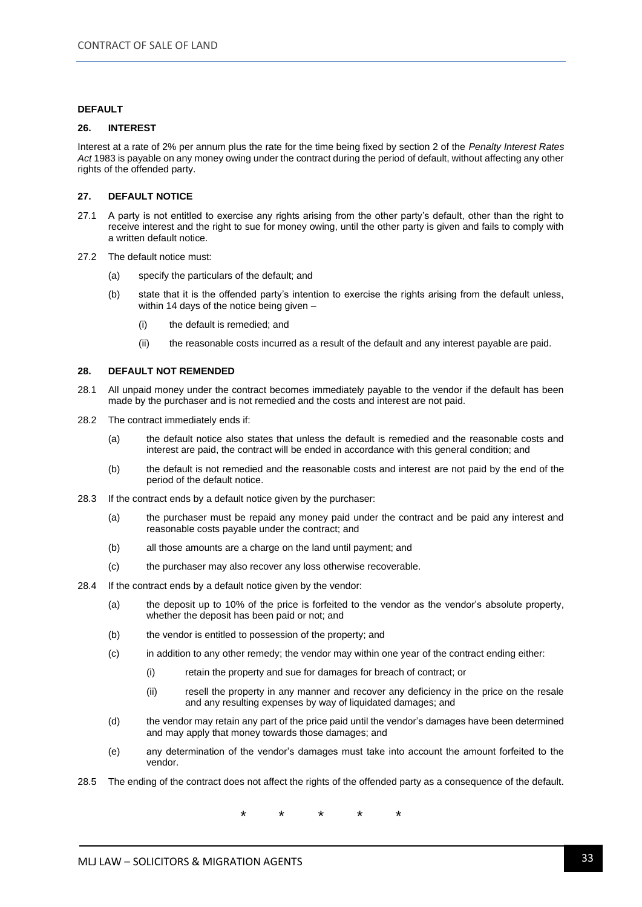#### **DEFAULT**

#### **26. INTEREST**

Interest at a rate of 2% per annum plus the rate for the time being fixed by section 2 of the *Penalty Interest Rates Act* 1983 is payable on any money owing under the contract during the period of default, without affecting any other rights of the offended party.

#### **27. DEFAULT NOTICE**

- 27.1 A party is not entitled to exercise any rights arising from the other party's default, other than the right to receive interest and the right to sue for money owing, until the other party is given and fails to comply with a written default notice.
- 27.2 The default notice must:
	- (a) specify the particulars of the default; and
	- (b) state that it is the offended party's intention to exercise the rights arising from the default unless, within 14 days of the notice being given –
		- (i) the default is remedied; and
		- (ii) the reasonable costs incurred as a result of the default and any interest payable are paid.

#### **28. DEFAULT NOT REMENDED**

- 28.1 All unpaid money under the contract becomes immediately payable to the vendor if the default has been made by the purchaser and is not remedied and the costs and interest are not paid.
- 28.2 The contract immediately ends if:
	- (a) the default notice also states that unless the default is remedied and the reasonable costs and interest are paid, the contract will be ended in accordance with this general condition; and
	- (b) the default is not remedied and the reasonable costs and interest are not paid by the end of the period of the default notice.
- 28.3 If the contract ends by a default notice given by the purchaser:
	- (a) the purchaser must be repaid any money paid under the contract and be paid any interest and reasonable costs payable under the contract; and
	- (b) all those amounts are a charge on the land until payment; and
	- (c) the purchaser may also recover any loss otherwise recoverable.
- 28.4 If the contract ends by a default notice given by the vendor:
	- (a) the deposit up to 10% of the price is forfeited to the vendor as the vendor's absolute property, whether the deposit has been paid or not; and
	- (b) the vendor is entitled to possession of the property; and
	- (c) in addition to any other remedy; the vendor may within one year of the contract ending either:
		- (i) retain the property and sue for damages for breach of contract; or
		- (ii) resell the property in any manner and recover any deficiency in the price on the resale and any resulting expenses by way of liquidated damages; and
	- (d) the vendor may retain any part of the price paid until the vendor's damages have been determined and may apply that money towards those damages; and
	- (e) any determination of the vendor's damages must take into account the amount forfeited to the vendor.
- 28.5 The ending of the contract does not affect the rights of the offended party as a consequence of the default.

\* \* \* \* \*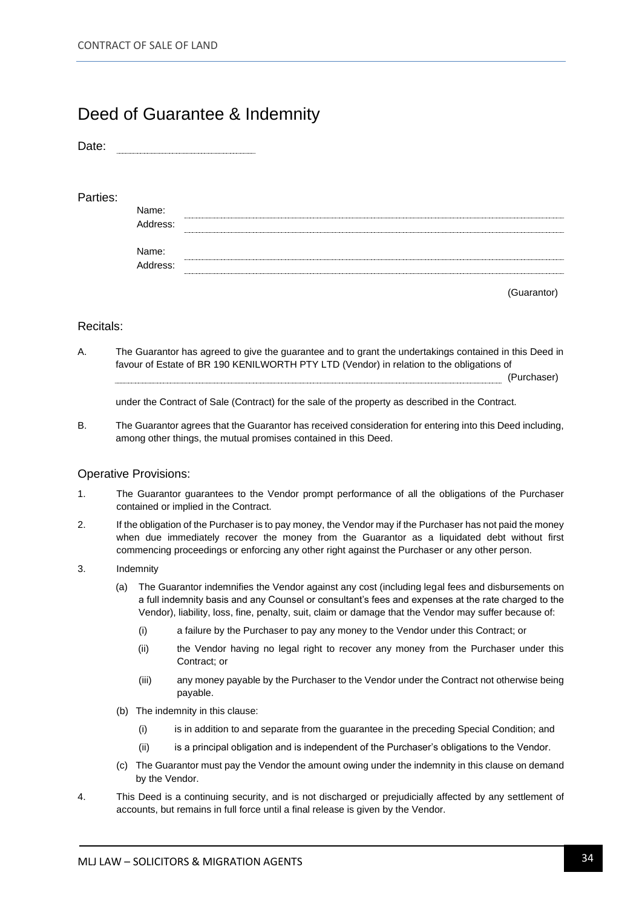### Deed of Guarantee & Indemnity

Date:

#### Parties:

| Name:    |  |
|----------|--|
| Address: |  |
| Name:    |  |
| Address: |  |

(Guarantor)

#### Recitals:

A. The Guarantor has agreed to give the guarantee and to grant the undertakings contained in this Deed in favour of Estate of BR 190 KENILWORTH PTY LTD (Vendor) in relation to the obligations of (Purchaser)

under the Contract of Sale (Contract) for the sale of the property as described in the Contract.

B. The Guarantor agrees that the Guarantor has received consideration for entering into this Deed including, among other things, the mutual promises contained in this Deed.

#### Operative Provisions:

- 1. The Guarantor guarantees to the Vendor prompt performance of all the obligations of the Purchaser contained or implied in the Contract.
- 2. If the obligation of the Purchaser is to pay money, the Vendor may if the Purchaser has not paid the money when due immediately recover the money from the Guarantor as a liquidated debt without first commencing proceedings or enforcing any other right against the Purchaser or any other person.
- 3. Indemnity
	- (a) The Guarantor indemnifies the Vendor against any cost (including legal fees and disbursements on a full indemnity basis and any Counsel or consultant's fees and expenses at the rate charged to the Vendor), liability, loss, fine, penalty, suit, claim or damage that the Vendor may suffer because of:
		- (i) a failure by the Purchaser to pay any money to the Vendor under this Contract; or
		- (ii) the Vendor having no legal right to recover any money from the Purchaser under this Contract; or
		- (iii) any money payable by the Purchaser to the Vendor under the Contract not otherwise being payable.
	- (b) The indemnity in this clause:
		- (i) is in addition to and separate from the guarantee in the preceding Special Condition; and
		- (ii) is a principal obligation and is independent of the Purchaser's obligations to the Vendor.
	- (c) The Guarantor must pay the Vendor the amount owing under the indemnity in this clause on demand by the Vendor.
- 4. This Deed is a continuing security, and is not discharged or prejudicially affected by any settlement of accounts, but remains in full force until a final release is given by the Vendor.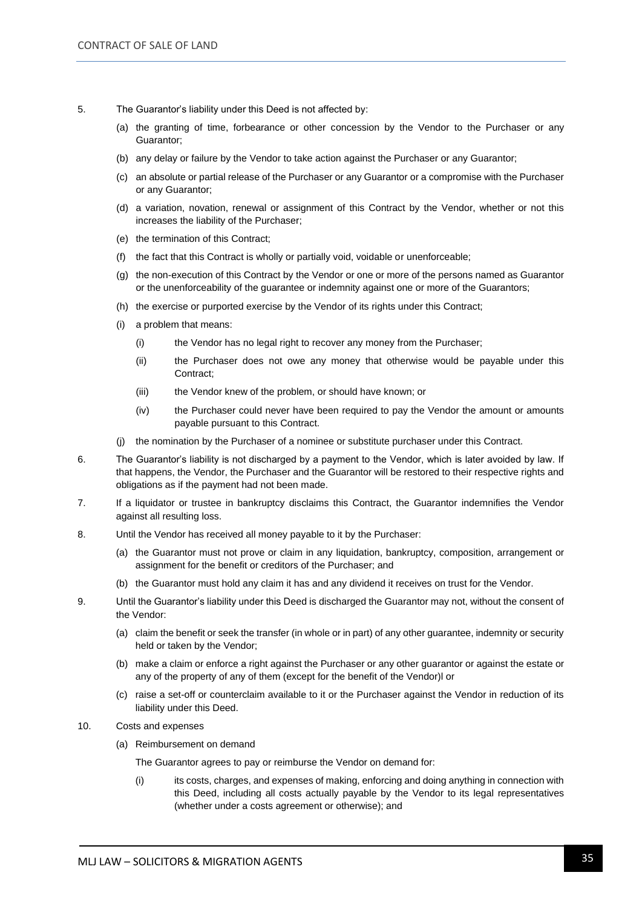- 5. The Guarantor's liability under this Deed is not affected by:
	- (a) the granting of time, forbearance or other concession by the Vendor to the Purchaser or any Guarantor;
	- (b) any delay or failure by the Vendor to take action against the Purchaser or any Guarantor;
	- (c) an absolute or partial release of the Purchaser or any Guarantor or a compromise with the Purchaser or any Guarantor;
	- (d) a variation, novation, renewal or assignment of this Contract by the Vendor, whether or not this increases the liability of the Purchaser;
	- (e) the termination of this Contract;
	- (f) the fact that this Contract is wholly or partially void, voidable or unenforceable;
	- (g) the non-execution of this Contract by the Vendor or one or more of the persons named as Guarantor or the unenforceability of the guarantee or indemnity against one or more of the Guarantors;
	- (h) the exercise or purported exercise by the Vendor of its rights under this Contract;
	- (i) a problem that means:
		- (i) the Vendor has no legal right to recover any money from the Purchaser;
		- (ii) the Purchaser does not owe any money that otherwise would be payable under this Contract;
		- (iii) the Vendor knew of the problem, or should have known; or
		- (iv) the Purchaser could never have been required to pay the Vendor the amount or amounts payable pursuant to this Contract.
	- (j) the nomination by the Purchaser of a nominee or substitute purchaser under this Contract.
- 6. The Guarantor's liability is not discharged by a payment to the Vendor, which is later avoided by law. If that happens, the Vendor, the Purchaser and the Guarantor will be restored to their respective rights and obligations as if the payment had not been made.
- 7. If a liquidator or trustee in bankruptcy disclaims this Contract, the Guarantor indemnifies the Vendor against all resulting loss.
- 8. Until the Vendor has received all money payable to it by the Purchaser:
	- (a) the Guarantor must not prove or claim in any liquidation, bankruptcy, composition, arrangement or assignment for the benefit or creditors of the Purchaser; and
	- (b) the Guarantor must hold any claim it has and any dividend it receives on trust for the Vendor.
- 9. Until the Guarantor's liability under this Deed is discharged the Guarantor may not, without the consent of the Vendor:
	- (a) claim the benefit or seek the transfer (in whole or in part) of any other guarantee, indemnity or security held or taken by the Vendor;
	- (b) make a claim or enforce a right against the Purchaser or any other guarantor or against the estate or any of the property of any of them (except for the benefit of the Vendor)l or
	- (c) raise a set-off or counterclaim available to it or the Purchaser against the Vendor in reduction of its liability under this Deed.
- 10. Costs and expenses
	- (a) Reimbursement on demand

The Guarantor agrees to pay or reimburse the Vendor on demand for:

(i) its costs, charges, and expenses of making, enforcing and doing anything in connection with this Deed, including all costs actually payable by the Vendor to its legal representatives (whether under a costs agreement or otherwise); and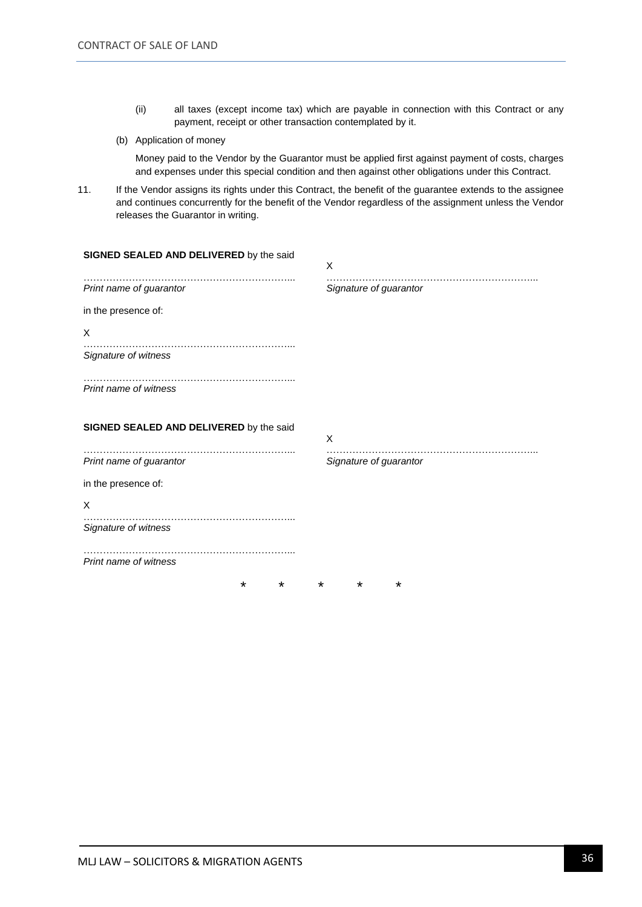- (ii) all taxes (except income tax) which are payable in connection with this Contract or any payment, receipt or other transaction contemplated by it.
- (b) Application of money

Money paid to the Vendor by the Guarantor must be applied first against payment of costs, charges and expenses under this special condition and then against other obligations under this Contract.

11. If the Vendor assigns its rights under this Contract, the benefit of the guarantee extends to the assignee and continues concurrently for the benefit of the Vendor regardless of the assignment unless the Vendor releases the Guarantor in writing.

| SIGNED SEALED AND DELIVERED by the said | X                      |
|-----------------------------------------|------------------------|
| Print name of guarantor                 | Signature of guarantor |
| in the presence of:                     |                        |
| X                                       |                        |
| Signature of witness                    |                        |
| Print name of witness                   |                        |
| SIGNED SEALED AND DELIVERED by the said | X                      |
| Print name of guarantor                 | Signature of guarantor |
| in the presence of:                     |                        |
| X                                       |                        |
| Signature of witness                    |                        |
| Print name of witness                   |                        |
| *<br>*<br>$\ast$                        | *<br>*                 |